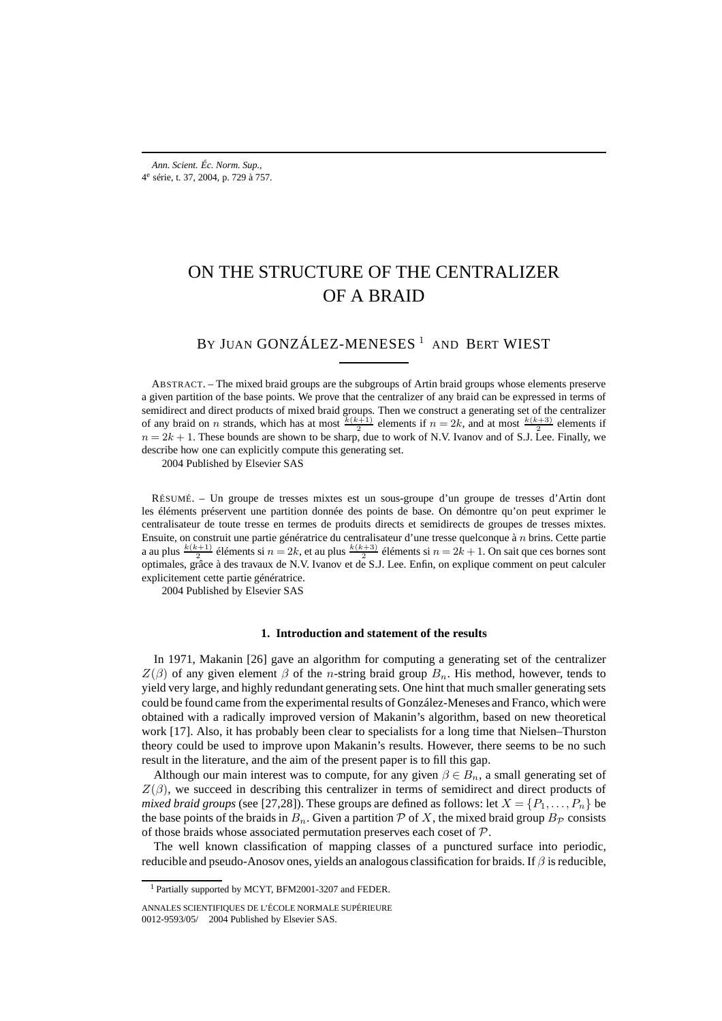# ON THE STRUCTURE OF THE CENTRALIZER OF A BRAID

BY JUAN GONZÁLEZ-MENESES<sup>1</sup> AND BERT WIEST

ABSTRACT. – The mixed braid groups are the subgroups of Artin braid groups whose elements preserve a given partition of the base points. We prove that the centralizer of any braid can be expressed in terms of semidirect and direct products of mixed braid groups. Then we construct a generating set of the centralizer of any braid on *n* strands, which has at most  $\frac{k(k+1)}{2}$  elements if  $n = 2k$ , and at most  $\frac{k(k+3)}{2}$  elements if  $n = 2k + 1$ . These bounds are shown to be sharp, due to work of N.V. Ivanov and of S.J. Lee. Finally, we describe how one can explicitly compute this generating set.

2004 Published by Elsevier SAS

RÉSUMÉ. – Un groupe de tresses mixtes est un sous-groupe d'un groupe de tresses d'Artin dont les éléments préservent une partition donnée des points de base. On démontre qu'on peut exprimer le centralisateur de toute tresse en termes de produits directs et semidirects de groupes de tresses mixtes. Ensuite, on construit une partie génératrice du centralisateur d'une tresse quelconque à n brins. Cette partie a au plus  $\frac{k(k+1)}{2}$  éléments si  $n = 2k$ , et au plus  $\frac{k(k+3)}{2}$  éléments si  $n = 2k + 1$ . On sait que ces bornes sont optimales, grâce à des travaux de N.V. Ivanov et de S.J. Lee. Enfin, on explique comment on peut calculer explicitement cette partie génératrice.

2004 Published by Elsevier SAS

#### **1. Introduction and statement of the results**

In 1971, Makanin [26] gave an algorithm for computing a generating set of the centralizer  $Z(\beta)$  of any given element  $\beta$  of the *n*-string braid group  $B_n$ . His method, however, tends to yield very large, and highly redundant generating sets. One hint that much smaller generating sets could be found came from the experimental results of González-Meneses and Franco, which were obtained with a radically improved version of Makanin's algorithm, based on new theoretical work [17]. Also, it has probably been clear to specialists for a long time that Nielsen–Thurston theory could be used to improve upon Makanin's results. However, there seems to be no such result in the literature, and the aim of the present paper is to fill this gap.

Although our main interest was to compute, for any given  $\beta \in B_n$ , a small generating set of  $Z(\beta)$ , we succeed in describing this centralizer in terms of semidirect and direct products of *mixed braid groups* (see [27,28]). These groups are defined as follows: let  $X = \{P_1, \ldots, P_n\}$  be the base points of the braids in  $B_n$ . Given a partition P of X, the mixed braid group  $B_p$  consists of those braids whose associated permutation preserves each coset of P.

The well known classification of mapping classes of a punctured surface into periodic, reducible and pseudo-Anosov ones, yields an analogous classification for braids. If  $\beta$  is reducible,

<sup>&</sup>lt;sup>1</sup> Partially supported by MCYT, BFM2001-3207 and FEDER.

ANNALES SCIENTIFIQUES DE L'ÉCOLE NORMALE SUPÉRIEURE 0012-9593/05/© 2004 Published by Elsevier SAS.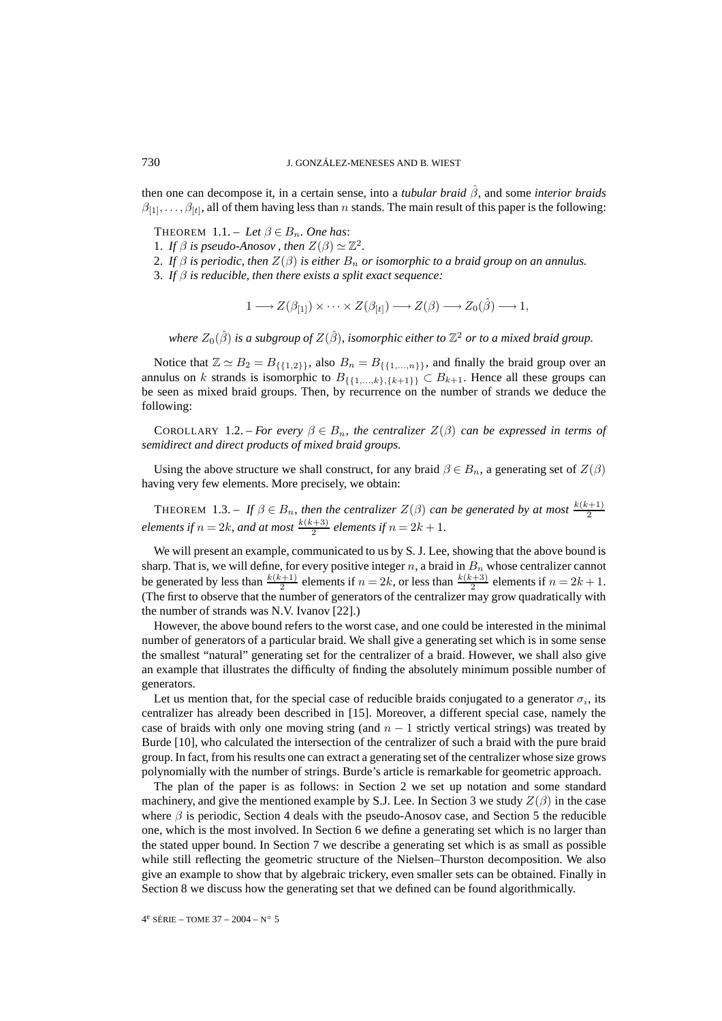then one can decompose it, in a certain sense, into a *tubular braid* βˆ, and some *interior braids*  $\beta_{[1]},\ldots,\beta_{[t]},$  all of them having less than n stands. The main result of this paper is the following:

THEOREM 1.1. – Let  $\beta \in B_n$ . One has:

- 1. *If*  $\beta$  *is pseudo-Anosov*, then  $Z(\beta) \simeq \mathbb{Z}^2$ .
- 2. *If*  $\beta$  *is periodic, then*  $Z(\beta)$  *is either*  $B_n$  *or isomorphic to a braid group on an annulus.*
- 3. *If* β *is reducible, then there exists a split exact sequence:*

$$
1 \longrightarrow Z(\beta_{[1]}) \times \cdots \times Z(\beta_{[t]}) \longrightarrow Z(\beta) \longrightarrow Z_0(\hat{\beta}) \longrightarrow 1,
$$

*where*  $Z_0(\hat{\beta})$  *is a subgroup of*  $Z(\hat{\beta})$ *, isomorphic either to*  $\mathbb{Z}^2$  *or to a mixed braid group.* 

Notice that  $\mathbb{Z} \simeq B_2 = B_{\{\{1,2\}\}}$ , also  $B_n = B_{\{\{1,\ldots,n\}\}}$ , and finally the braid group over an annulus on k strands is isomorphic to  $B_{\{\{1,\ldots,k\},\{k+1\}\}} \subset B_{k+1}$ . Hence all these groups can be seen as mixed braid groups. Then, by recurrence on the number of strands we deduce the following:

COROLLARY 1.2. – *For every*  $\beta \in B_n$ , the centralizer  $Z(\beta)$  *can be expressed in terms of semidirect and direct products of mixed braid groups.*

Using the above structure we shall construct, for any braid  $\beta \in B_n$ , a generating set of  $Z(\beta)$ having very few elements. More precisely, we obtain:

THEOREM 1.3. – If  $\beta \in B_n$ , then the centralizer  $Z(\beta)$  can be generated by at most  $\frac{k(k+1)}{2}$ *elements if*  $n = 2k$ *, and at most*  $\frac{k(k+3)}{2}$  *elements if*  $n = 2k + 1$ *.* 

We will present an example, communicated to us by S. J. Lee, showing that the above bound is sharp. That is, we will define, for every positive integer  $n$ , a braid in  $B_n$  whose centralizer cannot be generated by less than  $\frac{k(k+1)}{2}$  elements if  $n = 2k$ , or less than  $\frac{k(k+3)}{2}$  elements if  $n = 2k + 1$ . (The first to observe that the number of generators of the centralizer may grow quadratically with the number of strands was N.V. Ivanov [22].)

However, the above bound refers to the worst case, and one could be interested in the minimal number of generators of a particular braid. We shall give a generating set which is in some sense the smallest "natural" generating set for the centralizer of a braid. However, we shall also give an example that illustrates the difficulty of finding the absolutely minimum possible number of generators.

Let us mention that, for the special case of reducible braids conjugated to a generator  $\sigma_i$ , its centralizer has already been described in [15]. Moreover, a different special case, namely the case of braids with only one moving string (and  $n - 1$  strictly vertical strings) was treated by Burde [10], who calculated the intersection of the centralizer of such a braid with the pure braid group. In fact, from his results one can extract a generating set of the centralizer whose size grows polynomially with the number of strings. Burde's article is remarkable for geometric approach.

The plan of the paper is as follows: in Section 2 we set up notation and some standard machinery, and give the mentioned example by S.J. Lee. In Section 3 we study  $Z(\beta)$  in the case where  $\beta$  is periodic, Section 4 deals with the pseudo-Anosov case, and Section 5 the reducible one, which is the most involved. In Section 6 we define a generating set which is no larger than the stated upper bound. In Section 7 we describe a generating set which is as small as possible while still reflecting the geometric structure of the Nielsen–Thurston decomposition. We also give an example to show that by algebraic trickery, even smaller sets can be obtained. Finally in Section 8 we discuss how the generating set that we defined can be found algorithmically.

4e SÉRIE – TOME 37 – 2004 – N◦ 5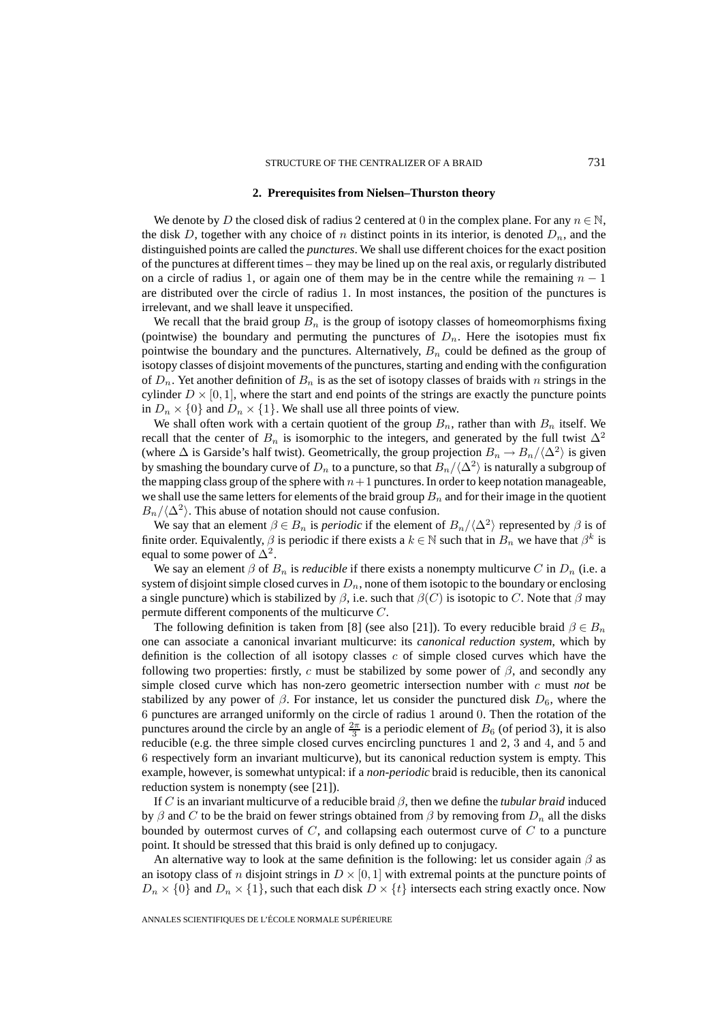#### **2. Prerequisites from Nielsen–Thurston theory**

We denote by D the closed disk of radius 2 centered at 0 in the complex plane. For any  $n \in \mathbb{N}$ , the disk D, together with any choice of n distinct points in its interior, is denoted  $D_n$ , and the distinguished points are called the *punctures*. We shall use different choices for the exact position of the punctures at different times – they may be lined up on the real axis, or regularly distributed on a circle of radius 1, or again one of them may be in the centre while the remaining  $n - 1$ are distributed over the circle of radius 1. In most instances, the position of the punctures is irrelevant, and we shall leave it unspecified.

We recall that the braid group  $B_n$  is the group of isotopy classes of homeomorphisms fixing (pointwise) the boundary and permuting the punctures of  $D_n$ . Here the isotopies must fix pointwise the boundary and the punctures. Alternatively,  $B_n$  could be defined as the group of isotopy classes of disjoint movements of the punctures, starting and ending with the configuration of  $D_n$ . Yet another definition of  $B_n$  is as the set of isotopy classes of braids with n strings in the cylinder  $D \times [0, 1]$ , where the start and end points of the strings are exactly the puncture points in  $D_n \times \{0\}$  and  $D_n \times \{1\}$ . We shall use all three points of view.

We shall often work with a certain quotient of the group  $B_n$ , rather than with  $B_n$  itself. We recall that the center of  $B_n$  is isomorphic to the integers, and generated by the full twist  $\Delta^2$ (where  $\Delta$  is Garside's half twist). Geometrically, the group projection  $B_n \to B_n/(\Delta^2)$  is given by smashing the boundary curve of  $D_n$  to a puncture, so that  $B_n/\langle \Delta^2 \rangle$  is naturally a subgroup of the mapping class group of the sphere with  $n+1$  punctures. In order to keep notation manageable, we shall use the same letters for elements of the braid group  $B_n$  and for their image in the quotient  $B_n/\langle \Delta^2 \rangle$ . This abuse of notation should not cause confusion.

We say that an element  $\beta \in B_n$  is *periodic* if the element of  $B_n/\langle \Delta^2 \rangle$  represented by  $\beta$  is of finite order. Equivalently,  $\beta$  is periodic if there exists a  $k \in \mathbb{N}$  such that in  $B_n$  we have that  $\beta^k$  is equal to some power of  $\Delta^2$ .

We say an element  $\beta$  of  $B_n$  is *reducible* if there exists a nonempty multicurve C in  $D_n$  (i.e. a system of disjoint simple closed curves in  $D_n$ , none of them isotopic to the boundary or enclosing a single puncture) which is stabilized by  $\beta$ , i.e. such that  $\beta(C)$  is isotopic to C. Note that  $\beta$  may permute different components of the multicurve C.

The following definition is taken from [8] (see also [21]). To every reducible braid  $\beta \in B_n$ one can associate a canonical invariant multicurve: its *canonical reduction system*, which by definition is the collection of all isotopy classes  $c$  of simple closed curves which have the following two properties: firstly, c must be stabilized by some power of  $\beta$ , and secondly any simple closed curve which has non-zero geometric intersection number with c must *not* be stabilized by any power of  $\beta$ . For instance, let us consider the punctured disk  $D_6$ , where the 6 punctures are arranged uniformly on the circle of radius 1 around 0. Then the rotation of the punctures around the circle by an angle of  $\frac{2\pi}{3}$  is a periodic element of  $B_6$  (of period 3), it is also reducible (e.g. the three simple closed curves encircling punctures 1 and 2, 3 and 4, and 5 and 6 respectively form an invariant multicurve), but its canonical reduction system is empty. This example, however, is somewhat untypical: if a *non-periodic* braid is reducible, then its canonical reduction system is nonempty (see [21]).

If C is an invariant multicurve of a reducible braid  $\beta$ , then we define the *tubular braid* induced by β and C to be the braid on fewer strings obtained from  $\beta$  by removing from  $D_n$  all the disks bounded by outermost curves of  $C$ , and collapsing each outermost curve of  $C$  to a puncture point. It should be stressed that this braid is only defined up to conjugacy.

An alternative way to look at the same definition is the following: let us consider again  $\beta$  as an isotopy class of n disjoint strings in  $D \times [0,1]$  with extremal points at the puncture points of  $D_n \times \{0\}$  and  $D_n \times \{1\}$ , such that each disk  $D \times \{t\}$  intersects each string exactly once. Now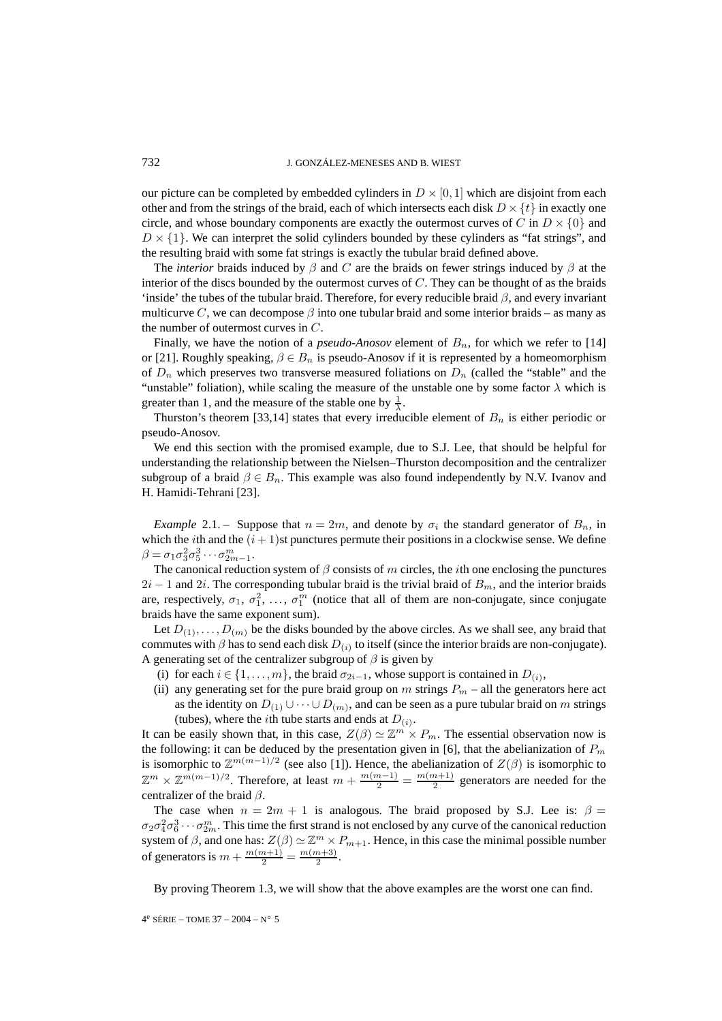our picture can be completed by embedded cylinders in  $D \times [0, 1]$  which are disjoint from each other and from the strings of the braid, each of which intersects each disk  $D \times \{t\}$  in exactly one circle, and whose boundary components are exactly the outermost curves of C in  $D \times \{0\}$  and  $D \times \{1\}$ . We can interpret the solid cylinders bounded by these cylinders as "fat strings", and the resulting braid with some fat strings is exactly the tubular braid defined above.

The *interior* braids induced by  $\beta$  and C are the braids on fewer strings induced by  $\beta$  at the interior of the discs bounded by the outermost curves of  $C$ . They can be thought of as the braids 'inside' the tubes of the tubular braid. Therefore, for every reducible braid  $\beta$ , and every invariant multicurve C, we can decompose  $\beta$  into one tubular braid and some interior braids – as many as the number of outermost curves in C.

Finally, we have the notion of a *pseudo-Anosov* element of  $B_n$ , for which we refer to [14] or [21]. Roughly speaking,  $\beta \in B_n$  is pseudo-Anosov if it is represented by a homeomorphism of  $D_n$  which preserves two transverse measured foliations on  $D_n$  (called the "stable" and the "unstable" foliation), while scaling the measure of the unstable one by some factor  $\lambda$  which is greater than 1, and the measure of the stable one by  $\frac{1}{\lambda}$ .

Thurston's theorem [33,14] states that every irreducible element of  $B_n$  is either periodic or pseudo-Anosov.

We end this section with the promised example, due to S.J. Lee, that should be helpful for understanding the relationship between the Nielsen–Thurston decomposition and the centralizer subgroup of a braid  $\beta \in B_n$ . This example was also found independently by N.V. Ivanov and H. Hamidi-Tehrani [23].

*Example* 2.1. – Suppose that  $n = 2m$ , and denote by  $\sigma_i$  the standard generator of  $B_n$ , in which the *i*th and the  $(i + 1)$ st punctures permute their positions in a clockwise sense. We define  $\beta = \sigma_1 \sigma_3^2 \sigma_5^3 \cdots \sigma_{2m-1}^m$ .

The canonical reduction system of  $\beta$  consists of m circles, the *i*th one enclosing the punctures  $2i - 1$  and  $2i$ . The corresponding tubular braid is the trivial braid of  $B<sub>m</sub>$ , and the interior braids are, respectively,  $\sigma_1$ ,  $\sigma_1^2$ , ...,  $\sigma_1^m$  (notice that all of them are non-conjugate, since conjugate braids have the same exponent sum).

Let  $D_{(1)},\ldots,D_{(m)}$  be the disks bounded by the above circles. As we shall see, any braid that commutes with  $\beta$  has to send each disk  $D_{(i)}$  to itself (since the interior braids are non-conjugate). A generating set of the centralizer subgroup of  $\beta$  is given by

- (i) for each  $i \in \{1, \ldots, m\}$ , the braid  $\sigma_{2i-1}$ , whose support is contained in  $D_{(i)}$ ,
- (ii) any generating set for the pure braid group on m strings  $P_m$  all the generators here act as the identity on  $D_{(1)} \cup \cdots \cup D_{(m)}$ , and can be seen as a pure tubular braid on m strings (tubes), where the *i*th tube starts and ends at  $D_{(i)}$ .

It can be easily shown that, in this case,  $Z(\beta) \simeq \mathbb{Z}^m \times P_m$ . The essential observation now is the following: it can be deduced by the presentation given in [6], that the abelianization of  $P_m$ is isomorphic to  $\mathbb{Z}^{m(m-1)/2}$  (see also [1]). Hence, the abelianization of  $Z(\beta)$  is isomorphic to  $\mathbb{Z}^m \times \mathbb{Z}^{m(m-1)/2}$ . Therefore, at least  $m + \frac{m(m-1)}{2} = \frac{m(m+1)}{2}$  generators are needed for the centralizer of the braid  $\beta$ .

The case when  $n = 2m + 1$  is analogous. The braid proposed by S.J. Lee is:  $\beta =$  $\sigma_2\sigma_4^2\sigma_6^3\cdots\sigma_{2m}^m$ . This time the first strand is not enclosed by any curve of the canonical reduction system of  $\beta$ , and one has:  $Z(\beta) \simeq \mathbb{Z}^m \times P_{m+1}$ . Hence, in this case the minimal possible number of generators is  $m + \frac{m(m+1)}{2} = \frac{m(m+3)}{2}$ .

By proving Theorem 1.3, we will show that the above examples are the worst one can find.

 $4^e$  SÉRIE – TOME 37 – 2004 – N° 5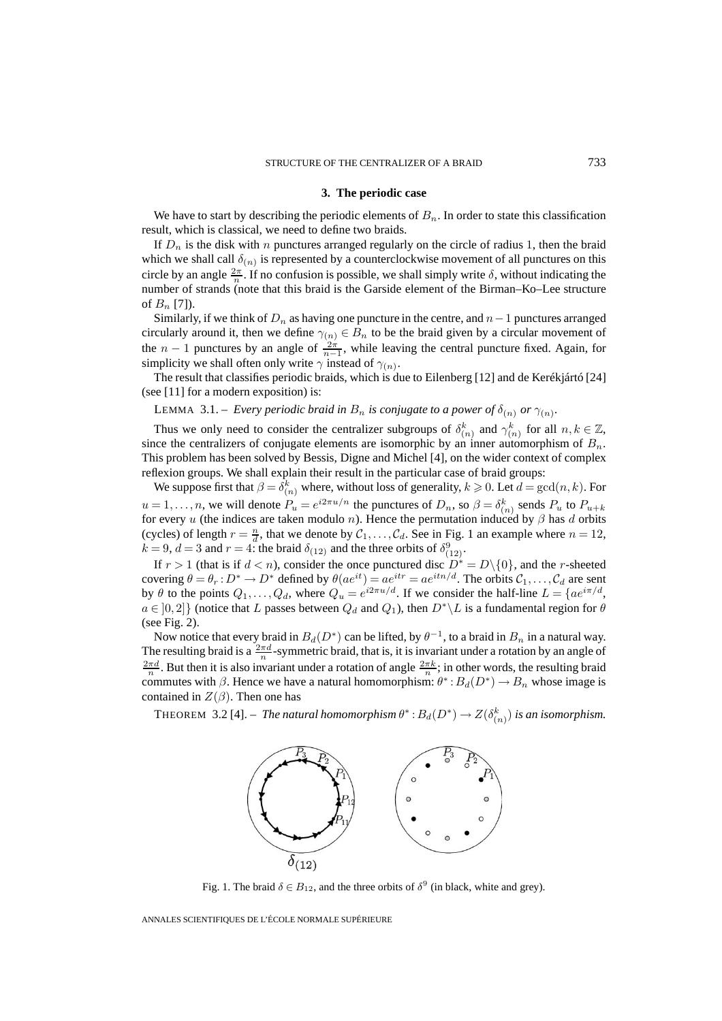#### **3. The periodic case**

We have to start by describing the periodic elements of  $B_n$ . In order to state this classification result, which is classical, we need to define two braids.

If  $D_n$  is the disk with n punctures arranged regularly on the circle of radius 1, then the braid which we shall call  $\delta_{(n)}$  is represented by a counterclockwise movement of all punctures on this circle by an angle  $\frac{2\pi}{n}$ . If no confusion is possible, we shall simply write  $\delta$ , without indicating the number of strands (note that this braid is the Garside element of the Birman–Ko–Lee structure of  $B_n$  [7]).

Similarly, if we think of  $D_n$  as having one puncture in the centre, and  $n-1$  punctures arranged circularly around it, then we define  $\gamma(n) \in B_n$  to be the braid given by a circular movement of the  $n-1$  punctures by an angle of  $\frac{2\pi}{n-1}$ , while leaving the central puncture fixed. Again, for simplicity we shall often only write  $\gamma$  instead of  $\gamma(n)$ .

The result that classifies periodic braids, which is due to Eilenberg [12] and de Kerékjártó [24] (see [11] for a modern exposition) is:

LEMMA 3.1. – *Every periodic braid in*  $B_n$  *is conjugate to a power of*  $\delta_{(n)}$  *or*  $\gamma_{(n)}$ *.* 

Thus we only need to consider the centralizer subgroups of  $\delta_{(n)}^k$  and  $\gamma_{(n)}^k$  for all  $n, k \in \mathbb{Z}$ , since the centralizers of conjugate elements are isomorphic by an inner automorphism of  $B_n$ . This problem has been solved by Bessis, Digne and Michel [4], on the wider context of complex reflexion groups. We shall explain their result in the particular case of braid groups:

We suppose first that  $\beta = \delta_{(n)}^k$  where, without loss of generality,  $k \geqslant 0$ . Let  $d = \gcd(n, k)$ . For  $u = 1, \ldots, n$ , we will denote  $P_u = e^{i2\pi u/n}$  the punctures of  $D_n$ , so  $\beta = \delta_{(n)}^k$  sends  $P_u$  to  $P_{u+k}$ for every u (the indices are taken modulo n). Hence the permutation induced by  $\beta$  has d orbits (cycles) of length  $r = \frac{n}{d}$ , that we denote by  $C_1, \ldots, C_d$ . See in Fig. 1 an example where  $n = 12$ ,  $k = 9$ ,  $d = 3$  and  $r = 4$ : the braid  $\delta_{(12)}$  and the three orbits of  $\delta_{(12)}^9$ .

If  $r > 1$  (that is if  $d < n$ ), consider the once punctured disc  $D^* = D \setminus \{0\}$ , and the *r*-sheeted covering  $\theta = \theta_r : D^* \to D^*$  defined by  $\theta(ae^{it}) = ae^{itr} = ae^{itn/d}$ . The orbits  $\mathcal{C}_1, \ldots, \mathcal{C}_d$  are sent by  $\theta$  to the points  $Q_1, \ldots, Q_d$ , where  $Q_u = e^{i2\pi u/d}$ . If we consider the half-line  $L = \{ae^{i\pi/d},$  $a \in [0,2]$  (notice that L passes between  $Q_d$  and  $Q_1$ ), then  $D^*\backslash L$  is a fundamental region for  $\theta$ (see Fig. 2).

Now notice that every braid in  $B_d(D^*)$  can be lifted, by  $\theta^{-1}$ , to a braid in  $B_n$  in a natural way. The resulting braid is a  $\frac{2\pi d}{n}$ -symmetric braid, that is, it is invariant under a rotation by an angle of  $\frac{2\pi d}{n}$ . But then it is also invariant under a rotation of angle  $\frac{2\pi k}{n}$ ; in other words, the resulting braid commutes with  $\beta$ . Hence we have a natural homomorphism:  $\theta^*$ :  $B_d(D^*) \to B_n$  whose image is contained in  $Z(\beta)$ . Then one has

THEOREM 3.2 [4]. – *The natural homomorphism*  $\theta^*: B_d(D^*) \to Z(\delta_{(n)}^k)$  *is an isomorphism.* 



Fig. 1. The braid  $\delta \in B_{12}$ , and the three orbits of  $\delta^9$  (in black, white and grey).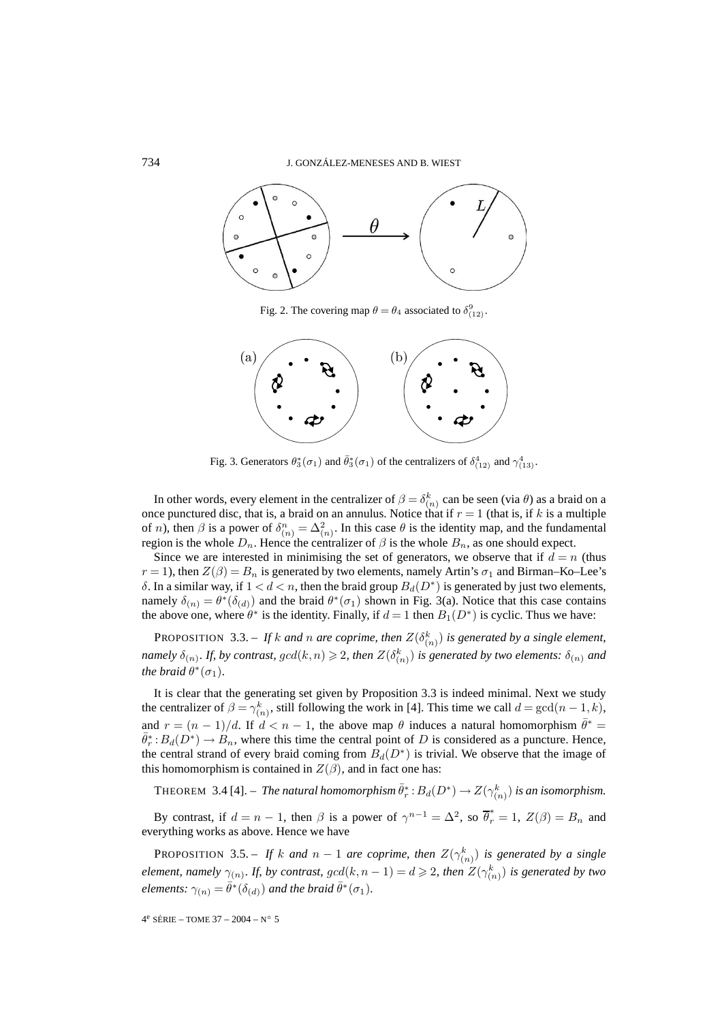

Fig. 2. The covering map  $\theta = \theta_4$  associated to  $\delta_{(12)}^9$ .



Fig. 3. Generators  $\theta_3^*(\sigma_1)$  and  $\bar{\theta}_3^*(\sigma_1)$  of the centralizers of  $\delta_{(12)}^4$  and  $\gamma_{(13)}^4$ .

In other words, every element in the centralizer of  $\beta = \delta_{(n)}^k$  can be seen (via  $\theta$ ) as a braid on a once punctured disc, that is, a braid on an annulus. Notice that if  $r = 1$  (that is, if k is a multiple of *n*), then  $\beta$  is a power of  $\delta_{(n)}^n = \Delta_{(n)}^2$ . In this case  $\theta$  is the identity map, and the fundamental region is the whole  $D_n$ . Hence the centralizer of  $\beta$  is the whole  $B_n$ , as one should expect.

Since we are interested in minimising the set of generators, we observe that if  $d = n$  (thus  $r = 1$ ), then  $Z(\beta) = B_n$  is generated by two elements, namely Artin's  $\sigma_1$  and Birman–Ko–Lee's δ. In a similar way, if  $1 < d < n$ , then the braid group  $B_d(D^*)$  is generated by just two elements, namely  $\delta_{(n)} = \theta^*(\delta_{(d)})$  and the braid  $\theta^*(\sigma_1)$  shown in Fig. 3(a). Notice that this case contains the above one, where  $\theta^*$  is the identity. Finally, if  $d = 1$  then  $B_1(D^*)$  is cyclic. Thus we have:

PROPOSITION 3.3. – If k and n are coprime, then  $Z(\delta_{(n)}^k)$  is generated by a single element, namely  $\delta_{(n)}$ . If, by contrast,  $gcd(k, n) \geqslant 2$ , then  $Z(\delta_{(n)}^k)$  is generated by two elements:  $\delta_{(n)}$  and *the braid*  $\theta^*(\sigma_1)$ *.* 

It is clear that the generating set given by Proposition 3.3 is indeed minimal. Next we study the centralizer of  $\beta = \gamma_{(n)}^k$ , still following the work in [4]. This time we call  $d = \gcd(n-1, k)$ , and  $r = (n - 1)/d$ . If  $d < n - 1$ , the above map  $\theta$  induces a natural homomorphism  $\bar{\theta}^* =$  $\theta_r^*: B_d(D^*) \to B_n$ , where this time the central point of D is considered as a puncture. Hence, the central strand of every braid coming from  $B_d(D^*)$  is trivial. We observe that the image of this homomorphism is contained in  $Z(\beta)$ , and in fact one has:

THEOREM 3.4 [4]. – *The natural homomorphism*  $\bar{\theta}_r^* : B_d(D^*) \to Z(\gamma_{(n)}^k)$  *is an isomorphism.* 

By contrast, if  $d = n - 1$ , then  $\beta$  is a power of  $\gamma^{n-1} = \Delta^2$ , so  $\overline{\theta}_r^* = 1$ ,  $Z(\beta) = B_n$  and everything works as above. Hence we have

PROPOSITION 3.5. – If k and  $n-1$  are coprime, then  $Z(\gamma_{(n)}^k)$  is generated by a single *element, namely*  $\gamma_{(n)}$ *. If, by contrast, gcd*( $k, n - 1$ ) =  $d \geqslant 2$ *, then*  $Z(\gamma_{(n)}^k)$  *is generated by two elements:*  $\gamma_{(n)} = \bar{\theta}^*(\delta_{(d)})$  *and the braid*  $\bar{\theta}^*(\sigma_1)$ *.* 

 $4^e$  SÉRIE – TOME 37 – 2004 – N° 5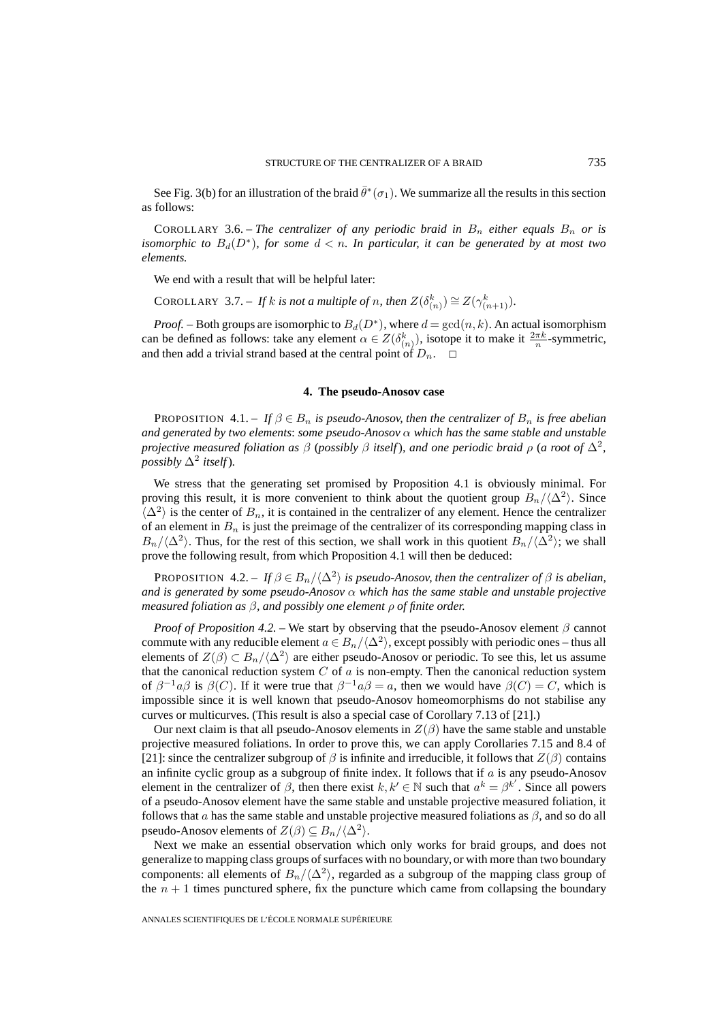See Fig. 3(b) for an illustration of the braid  $\bar{\theta}^*(\sigma_1)$ . We summarize all the results in this section as follows:

COROLLARY 3.6. – *The centralizer of any periodic braid in*  $B_n$  *either equals*  $B_n$  *or is isomorphic to*  $B_d(D^*)$ *, for some*  $d < n$ *. In particular, it can be generated by at most two elements.*

We end with a result that will be helpful later:

COROLLARY 3.7. – If k is not a multiple of n, then  $Z(\delta_{(n)}^k) \cong Z(\gamma_{(n+1)}^k)$ .

*Proof.* – Both groups are isomorphic to  $B_d(D^*)$ , where  $d = \gcd(n, k)$ . An actual isomorphism can be defined as follows: take any element  $\alpha \in Z(\delta_{(n)}^k)$ , isotope it to make it  $\frac{2\pi k}{n}$ -symmetric, and then add a trivial strand based at the central point of  $D_n$ .  $\Box$ 

#### **4. The pseudo-Anosov case**

PROPOSITION  $4.1 - If \beta \in B_n$  *is pseudo-Anosov, then the centralizer of*  $B_n$  *is free abelian and generated by two elements*: *some pseudo-Anosov* α *which has the same stable and unstable projective measured foliation as*  $\beta$  (*possibly*  $\beta$  *itself*)*, and one periodic braid*  $\rho$  (*a root of*  $\Delta^2$ *, possibly*  $\Delta^2$  *itself*).

We stress that the generating set promised by Proposition 4.1 is obviously minimal. For proving this result, it is more convenient to think about the quotient group  $B_n/\langle \Delta^2 \rangle$ . Since  $\langle \Delta^2 \rangle$  is the center of  $B_n$ , it is contained in the centralizer of any element. Hence the centralizer of an element in  $B_n$  is just the preimage of the centralizer of its corresponding mapping class in  $B_n/\langle\Delta^2\rangle$ . Thus, for the rest of this section, we shall work in this quotient  $B_n/\langle\Delta^2\rangle$ ; we shall prove the following result, from which Proposition 4.1 will then be deduced:

PROPOSITION 4.2. – *If*  $\beta \in B_n/\langle \Delta^2 \rangle$  *is pseudo-Anosov, then the centralizer of*  $\beta$  *is abelian, and is generated by some pseudo-Anosov* α *which has the same stable and unstable projective measured foliation as* β*, and possibly one element* ρ *of finite order.*

*Proof of Proposition 4.2. –* We start by observing that the pseudo-Anosov element  $\beta$  cannot commute with any reducible element  $a \in B_n/\langle \Delta^2 \rangle$ , except possibly with periodic ones – thus all elements of  $Z(\beta) \subset B_n/\langle \Delta^2 \rangle$  are either pseudo-Anosov or periodic. To see this, let us assume that the canonical reduction system  $C$  of  $a$  is non-empty. Then the canonical reduction system of  $\beta^{-1}a\beta$  is  $\beta(C)$ . If it were true that  $\beta^{-1}a\beta = a$ , then we would have  $\beta(C) = C$ , which is impossible since it is well known that pseudo-Anosov homeomorphisms do not stabilise any curves or multicurves. (This result is also a special case of Corollary 7.13 of [21].)

Our next claim is that all pseudo-Anosov elements in  $Z(\beta)$  have the same stable and unstable projective measured foliations. In order to prove this, we can apply Corollaries 7.15 and 8.4 of [21]: since the centralizer subgroup of  $\beta$  is infinite and irreducible, it follows that  $Z(\beta)$  contains an infinite cyclic group as a subgroup of finite index. It follows that if  $\alpha$  is any pseudo-Anosov element in the centralizer of  $\beta$ , then there exist  $k, k' \in \mathbb{N}$  such that  $a^k = \beta^{k'}$ . Since all powers of a pseudo-Anosov element have the same stable and unstable projective measured foliation, it follows that a has the same stable and unstable projective measured foliations as  $\beta$ , and so do all pseudo-Anosov elements of  $Z(\beta) \subseteq B_n/\langle \Delta^2 \rangle$ .

Next we make an essential observation which only works for braid groups, and does not generalize to mapping class groups of surfaces with no boundary, or with more than two boundary components: all elements of  $B_n/\langle \Delta^2 \rangle$ , regarded as a subgroup of the mapping class group of the  $n + 1$  times punctured sphere, fix the puncture which came from collapsing the boundary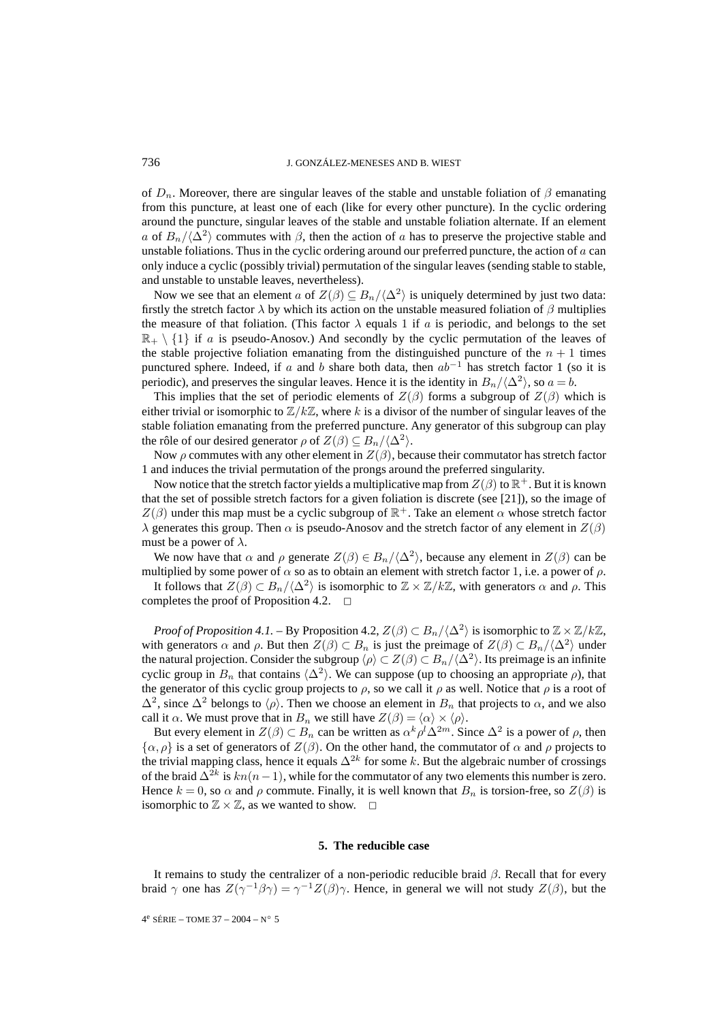of  $D_n$ . Moreover, there are singular leaves of the stable and unstable foliation of  $\beta$  emanating from this puncture, at least one of each (like for every other puncture). In the cyclic ordering around the puncture, singular leaves of the stable and unstable foliation alternate. If an element a of  $B_n/\langle \Delta^2 \rangle$  commutes with  $\beta$ , then the action of a has to preserve the projective stable and unstable foliations. Thus in the cyclic ordering around our preferred puncture, the action of  $\alpha$  can only induce a cyclic (possibly trivial) permutation of the singular leaves (sending stable to stable, and unstable to unstable leaves, nevertheless).

Now we see that an element a of  $Z(\beta) \subseteq B_n/\langle \Delta^2 \rangle$  is uniquely determined by just two data: firstly the stretch factor  $\lambda$  by which its action on the unstable measured foliation of  $\beta$  multiplies the measure of that foliation. (This factor  $\lambda$  equals 1 if a is periodic, and belongs to the set  $\mathbb{R}_+ \setminus \{1\}$  if a is pseudo-Anosov.) And secondly by the cyclic permutation of the leaves of the stable projective foliation emanating from the distinguished puncture of the  $n + 1$  times punctured sphere. Indeed, if a and b share both data, then  $ab^{-1}$  has stretch factor 1 (so it is periodic), and preserves the singular leaves. Hence it is the identity in  $B_n/\langle \Delta^2 \rangle$ , so  $a = b$ .

This implies that the set of periodic elements of  $Z(\beta)$  forms a subgroup of  $Z(\beta)$  which is either trivial or isomorphic to  $\mathbb{Z}/k\mathbb{Z}$ , where k is a divisor of the number of singular leaves of the stable foliation emanating from the preferred puncture. Any generator of this subgroup can play the rôle of our desired generator  $\rho$  of  $Z(\beta) \subseteq B_n/\langle \Delta^2 \rangle$ .

Now  $\rho$  commutes with any other element in  $Z(\beta)$ , because their commutator has stretch factor 1 and induces the trivial permutation of the prongs around the preferred singularity.

Now notice that the stretch factor yields a multiplicative map from  $Z(\beta)$  to  $\mathbb{R}^+$ . But it is known that the set of possible stretch factors for a given foliation is discrete (see [21]), so the image of  $Z(\beta)$  under this map must be a cyclic subgroup of  $\mathbb{R}^+$ . Take an element  $\alpha$  whose stretch factor  $\lambda$  generates this group. Then  $\alpha$  is pseudo-Anosov and the stretch factor of any element in  $Z(\beta)$ must be a power of  $\lambda$ .

We now have that  $\alpha$  and  $\rho$  generate  $Z(\beta) \in B_n/\langle \Delta^2 \rangle$ , because any element in  $Z(\beta)$  can be multiplied by some power of  $\alpha$  so as to obtain an element with stretch factor 1, i.e. a power of  $\rho$ .

It follows that  $Z(\beta) \subset B_n/\langle \Delta^2 \rangle$  is isomorphic to  $\mathbb{Z} \times \mathbb{Z}/k\mathbb{Z}$ , with generators  $\alpha$  and  $\rho$ . This completes the proof of Proposition 4.2.  $\Box$ 

*Proof of Proposition 4.1.* – By Proposition 4.2,  $Z(\beta) \subset B_n/\langle \Delta^2 \rangle$  is isomorphic to  $\mathbb{Z} \times \mathbb{Z}/k\mathbb{Z}$ , with generators  $\alpha$  and  $\rho$ . But then  $Z(\beta) \subset B_n$  is just the preimage of  $Z(\beta) \subset B_n/\langle \Delta^2 \rangle$  under the natural projection. Consider the subgroup  $\langle \rho \rangle \subset Z(\beta) \subset B_n/\langle \Delta^2 \rangle$ . Its preimage is an infinite cyclic group in  $B_n$  that contains  $\langle \Delta^2 \rangle$ . We can suppose (up to choosing an appropriate  $\rho$ ), that the generator of this cyclic group projects to  $\rho$ , so we call it  $\rho$  as well. Notice that  $\rho$  is a root of  $\Delta^2$ , since  $\Delta^2$  belongs to  $\langle \rho \rangle$ . Then we choose an element in  $B_n$  that projects to  $\alpha$ , and we also call it  $\alpha$ . We must prove that in  $B_n$  we still have  $Z(\beta) = \langle \alpha \rangle \times \langle \rho \rangle$ .

But every element in  $Z(\beta) \subset B_n$  can be written as  $\alpha^k \rho^l \Delta^{2m}$ . Since  $\Delta^2$  is a power of  $\rho$ , then  $\{\alpha, \rho\}$  is a set of generators of  $Z(\beta)$ . On the other hand, the commutator of  $\alpha$  and  $\rho$  projects to the trivial mapping class, hence it equals  $\Delta^{2k}$  for some k. But the algebraic number of crossings of the braid  $\Delta^{2k}$  is  $kn(n-1)$ , while for the commutator of any two elements this number is zero. Hence  $k = 0$ , so  $\alpha$  and  $\rho$  commute. Finally, it is well known that  $B_n$  is torsion-free, so  $Z(\beta)$  is isomorphic to  $\mathbb{Z} \times \mathbb{Z}$ , as we wanted to show.  $\Box$ 

#### **5. The reducible case**

It remains to study the centralizer of a non-periodic reducible braid  $\beta$ . Recall that for every braid γ one has  $Z(\gamma^{-1}\beta\gamma) = \gamma^{-1}Z(\beta)\gamma$ . Hence, in general we will not study  $Z(\beta)$ , but the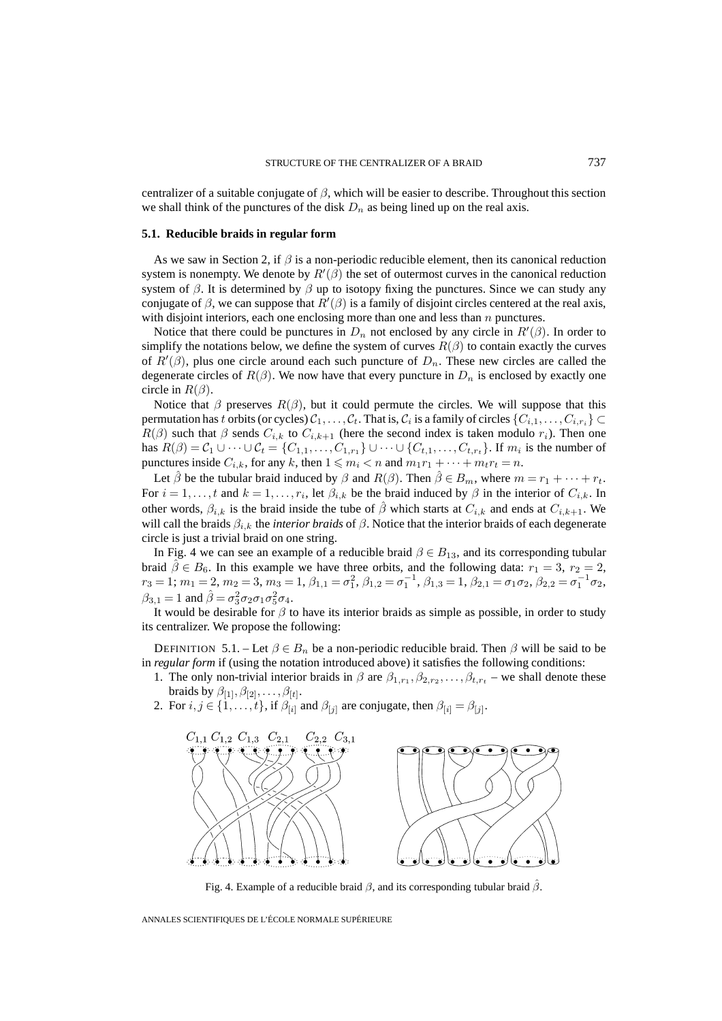centralizer of a suitable conjugate of  $\beta$ , which will be easier to describe. Throughout this section we shall think of the punctures of the disk  $D_n$  as being lined up on the real axis.

### **5.1. Reducible braids in regular form**

As we saw in Section 2, if  $\beta$  is a non-periodic reducible element, then its canonical reduction system is nonempty. We denote by  $R'(\beta)$  the set of outermost curves in the canonical reduction system of  $\beta$ . It is determined by  $\beta$  up to isotopy fixing the punctures. Since we can study any conjugate of  $\beta$ , we can suppose that  $R'(\beta)$  is a family of disjoint circles centered at the real axis, with disjoint interiors, each one enclosing more than one and less than  $n$  punctures.

Notice that there could be punctures in  $D_n$  not enclosed by any circle in  $R'(\beta)$ . In order to simplify the notations below, we define the system of curves  $R(\beta)$  to contain exactly the curves of  $R'(\beta)$ , plus one circle around each such puncture of  $D_n$ . These new circles are called the degenerate circles of  $R(\beta)$ . We now have that every puncture in  $D_n$  is enclosed by exactly one circle in  $R(\beta)$ .

Notice that  $\beta$  preserves  $R(\beta)$ , but it could permute the circles. We will suppose that this permutation has t orbits (or cycles)  $C_1,\ldots,C_t$ . That is,  $C_i$  is a family of circles  $\{C_{i,1},\ldots,C_{i,r_i}\}\subset$  $R(\beta)$  such that  $\beta$  sends  $C_{i,k}$  to  $C_{i,k+1}$  (here the second index is taken modulo  $r_i$ ). Then one has  $R(\beta) = C_1 \cup \cdots \cup C_t = \{C_{1,1}, \ldots, C_{1,r_1}\} \cup \cdots \cup \{C_{t,1}, \ldots, C_{t,r_t}\}.$  If  $m_i$  is the number of punctures inside  $C_{i,k}$ , for any k, then  $1 \leq m_i < n$  and  $m_1r_1 + \cdots + m_tr_t = n$ .

Let  $\beta$  be the tubular braid induced by  $\beta$  and  $R(\beta)$ . Then  $\beta \in B_m$ , where  $m = r_1 + \cdots + r_t$ . For  $i = 1, \ldots, t$  and  $k = 1, \ldots, r_i$ , let  $\beta_{i,k}$  be the braid induced by  $\beta$  in the interior of  $C_{i,k}$ . In other words,  $\beta_{i,k}$  is the braid inside the tube of  $\hat{\beta}$  which starts at  $C_{i,k}$  and ends at  $C_{i,k+1}$ . We will call the braids  $β_{i,k}$  the *interior braids* of  $β$ . Notice that the interior braids of each degenerate circle is just a trivial braid on one string.

In Fig. 4 we can see an example of a reducible braid  $\beta \in B_{13}$ , and its corresponding tubular braid  $\hat{\beta} \in B_6$ . In this example we have three orbits, and the following data:  $r_1 = 3$ ,  $r_2 = 2$ ,  $r_3 = 1; m_1 = 2, m_2 = 3, m_3 = 1, \beta_{1,1} = \sigma_1^2, \beta_{1,2} = \sigma_1^{-1}, \beta_{1,3} = 1, \beta_{2,1} = \sigma_1 \sigma_2, \beta_{2,2} = \sigma_1^{-1} \sigma_2,$  $\beta_{3,1} = 1$  and  $\hat{\beta} = \sigma_3^2 \sigma_2 \sigma_1 \sigma_5^2 \sigma_4$ .

It would be desirable for  $\beta$  to have its interior braids as simple as possible, in order to study its centralizer. We propose the following:

DEFINITION 5.1. – Let  $\beta \in B_n$  be a non-periodic reducible braid. Then  $\beta$  will be said to be in *regular form* if (using the notation introduced above) it satisfies the following conditions:

- 1. The only non-trivial interior braids in  $\beta$  are  $\beta_{1,r_1}, \beta_{2,r_2}, \ldots, \beta_{t,r_t}$  we shall denote these braids by  $\beta_{[1]}, \beta_{[2]}, \ldots, \beta_{[t]}.$
- 2. For  $i, j \in \{1, \ldots, t\}$ , if  $\beta_{[i]}$  and  $\beta_{[j]}$  are conjugate, then  $\beta_{[i]} = \beta_{[j]}$ .



Fig. 4. Example of a reducible braid  $\beta$ , and its corresponding tubular braid  $\beta$ .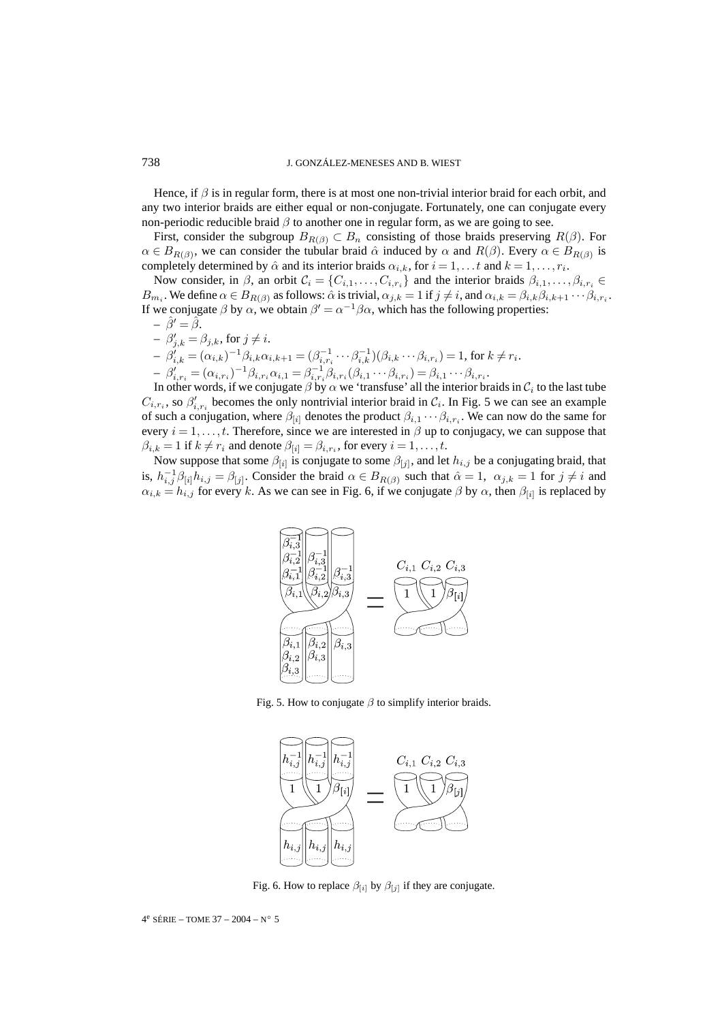Hence, if  $\beta$  is in regular form, there is at most one non-trivial interior braid for each orbit, and any two interior braids are either equal or non-conjugate. Fortunately, one can conjugate every non-periodic reducible braid  $\beta$  to another one in regular form, as we are going to see.

First, consider the subgroup  $B_{R(\beta)} \subset B_n$  consisting of those braids preserving  $R(\beta)$ . For  $\alpha \in B_{R(\beta)}$ , we can consider the tubular braid  $\hat{\alpha}$  induced by  $\alpha$  and  $R(\beta)$ . Every  $\alpha \in B_{R(\beta)}$  is completely determined by  $\hat{\alpha}$  and its interior braids  $\alpha_{i,k}$ , for  $i = 1, \ldots, t$  and  $k = 1, \ldots, r_i$ .

Now consider, in  $\beta$ , an orbit  $C_i = \{C_{i,1}, \ldots, C_{i,r_i}\}\$  and the interior braids  $\beta_{i,1}, \ldots, \beta_{i,r_i} \in$  $B_{m_i}$ . We define  $\alpha \in B_{R(\beta)}$  as follows:  $\hat{\alpha}$  is trivial,  $\alpha_{j,k} = 1$  if  $j \neq i$ , and  $\alpha_{i,k} = \beta_{i,k}\beta_{i,k+1}\cdots\beta_{i,r_i}$ . If we conjugate  $\beta$  by  $\alpha$ , we obtain  $\beta' = \alpha^{-1}\beta\alpha$ , which has the following properties:

 $- \hat{\beta}' = \hat{\beta}.$  $- \beta'_{j,k} = \beta_{j,k}$ , for  $j \neq i$ .  $-\beta'_{i,k} = (\alpha_{i,k})^{-1}\beta_{i,k}\alpha_{i,k+1} = (\beta_{i,r_i}^{-1}\cdots\beta_{i,k}^{-1})(\beta_{i,k}\cdots\beta_{i,r_i}) = 1$ , for  $k \neq r_i$ .  $-\beta'_{i,r_i} = (\alpha_{i,r_i})^{-1}\beta_{i,r_i}\alpha_{i,1} = \beta_{i,r_i}^{-1}\beta_{i,r_i}(\beta_{i,1}\cdots\beta_{i,r_i}) = \beta_{i,1}\cdots\beta_{i,r_i}.$ 

In other words, if we conjugate  $\beta$  by  $\alpha$  we 'transfuse' all the interior braids in  $C_i$  to the last tube  $C_{i,r_i}$ , so  $\beta'_{i,r_i}$  becomes the only nontrivial interior braid in  $C_i$ . In Fig. 5 we can see an example of such a conjugation, where  $\beta_{[i]}$  denotes the product  $\beta_{i,1} \cdots \beta_{i,r_i}$ . We can now do the same for every  $i = 1, \ldots, t$ . Therefore, since we are interested in  $\beta$  up to conjugacy, we can suppose that  $\beta_{i,k} = 1$  if  $k \neq r_i$  and denote  $\beta_{[i]} = \beta_{i,r_i}$ , for every  $i = 1, \ldots, t$ .

Now suppose that some  $\beta_{[i]}$  is conjugate to some  $\beta_{[j]}$ , and let  $h_{i,j}$  be a conjugating braid, that is,  $h_{i,j}^{-1}\beta_{[i]}h_{i,j} = \beta_{[j]}$ . Consider the braid  $\alpha \in B_{R(\beta)}$  such that  $\hat{\alpha} = 1$ ,  $\alpha_{j,k} = 1$  for  $j \neq i$  and  $\alpha_{i,k} = h_{i,j}$  for every k. As we can see in Fig. 6, if we conjugate  $\beta$  by  $\alpha$ , then  $\beta_{[i]}$  is replaced by



Fig. 5. How to conjugate  $\beta$  to simplify interior braids.



Fig. 6. How to replace  $\beta_{[i]}$  by  $\beta_{[j]}$  if they are conjugate.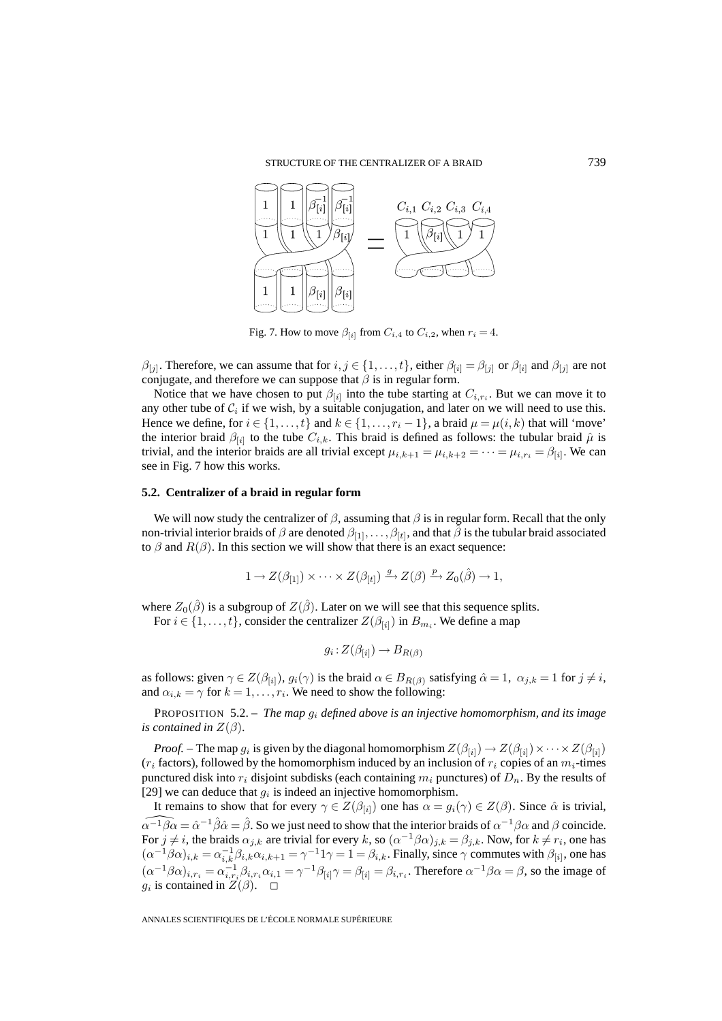

Fig. 7. How to move  $\beta_{[i]}$  from  $C_{i,4}$  to  $C_{i,2}$ , when  $r_i = 4$ .

 $\beta_{[j]}$ . Therefore, we can assume that for  $i, j \in \{1, ..., t\}$ , either  $\beta_{[i]} = \beta_{[j]}$  or  $\beta_{[i]}$  and  $\beta_{[j]}$  are not conjugate, and therefore we can suppose that  $\beta$  is in regular form.

Notice that we have chosen to put  $\beta_{[i]}$  into the tube starting at  $C_{i,r_i}$ . But we can move it to any other tube of  $C_i$  if we wish, by a suitable conjugation, and later on we will need to use this. Hence we define, for  $i \in \{1,\ldots,t\}$  and  $k \in \{1,\ldots,r_i-1\}$ , a braid  $\mu = \mu(i,k)$  that will 'move' the interior braid  $\beta_{[i]}$  to the tube  $C_{i,k}$ . This braid is defined as follows: the tubular braid  $\hat{\mu}$  is trivial, and the interior braids are all trivial except  $\mu_{i,k+1} = \mu_{i,k+2} = \cdots = \mu_{i,r_i} = \beta_{[i]}$ . We can see in Fig. 7 how this works.

#### **5.2. Centralizer of a braid in regular form**

We will now study the centralizer of  $\beta$ , assuming that  $\beta$  is in regular form. Recall that the only non-trivial interior braids of  $\beta$  are denoted  $\beta_{[1]},\ldots,\beta_{[t]}$ , and that  $\beta$  is the tubular braid associated to  $\beta$  and  $R(\beta)$ . In this section we will show that there is an exact sequence:

$$
1 \to Z(\beta_{[1]}) \times \cdots \times Z(\beta_{[t]}) \xrightarrow{g} Z(\beta) \xrightarrow{p} Z_0(\hat{\beta}) \to 1,
$$

where  $Z_0(\hat{\beta})$  is a subgroup of  $Z(\hat{\beta})$ . Later on we will see that this sequence splits.

For  $i \in \{1, \ldots, t\}$ , consider the centralizer  $Z(\beta_{[i]})$  in  $B_{m_i}$ . We define a map

$$
g_i: Z(\beta_{[i]}) \to B_{R(\beta)}
$$

as follows: given  $\gamma \in Z(\beta_{[i]}), g_i(\gamma)$  is the braid  $\alpha \in B_{R(\beta)}$  satisfying  $\hat{\alpha} = 1, \alpha_{j,k} = 1$  for  $j \neq i$ , and  $\alpha_{i,k} = \gamma$  for  $k = 1, \ldots, r_i$ . We need to show the following:

PROPOSITION 5.2. – *The map* g<sup>i</sup> *defined above is an injective homomorphism, and its image is contained in*  $Z(\beta)$ *.* 

*Proof.* – The map  $g_i$  is given by the diagonal homomorphism  $Z(\beta_{[i]}) \to Z(\beta_{[i]}) \times \cdots \times Z(\beta_{[i]})$  $(r_i$  factors), followed by the homomorphism induced by an inclusion of  $r_i$  copies of an  $m_i$ -times punctured disk into  $r_i$  disjoint subdisks (each containing  $m_i$  punctures) of  $D_n$ . By the results of [29] we can deduce that  $g_i$  is indeed an injective homomorphism.

It remains to show that for every  $\gamma \in Z(\beta_{[i]})$  one has  $\alpha = g_i(\gamma) \in Z(\beta)$ . Since  $\hat{\alpha}$  is trivial,  $\alpha^{-1}\beta\alpha = \hat{\alpha}^{-1}\hat{\beta}\hat{\alpha} = \hat{\beta}$ . So we just need to show that the interior braids of  $\alpha^{-1}\beta\alpha$  and  $\beta$  coincide. For  $j \neq i$ , the braids  $\alpha_{j,k}$  are trivial for every k, so  $(\alpha^{-1}\beta\alpha)_{j,k} = \beta_{j,k}$ . Now, for  $k \neq r_i$ , one has  $(\alpha^{-1}\beta\alpha)_{i,k} = \alpha_{i,k}^{-1}\beta_{i,k}\alpha_{i,k+1} = \gamma^{-1}1\gamma = 1 = \beta_{i,k}$ . Finally, since  $\gamma$  commutes with  $\beta_{[i]}$ , one has  $(\alpha^{-1}\beta\alpha)_{i,r_i} = \alpha_{i,r_i}^{-1}\beta_{i,r_i}\alpha_{i,1} = \gamma^{-1}\beta_{[i]}\gamma = \beta_{[i]} = \beta_{i,r_i}$ . Therefore  $\alpha^{-1}\beta\alpha = \beta$ , so the image of g<sub>i</sub> is contained in  $Z(\beta)$ .  $\Box$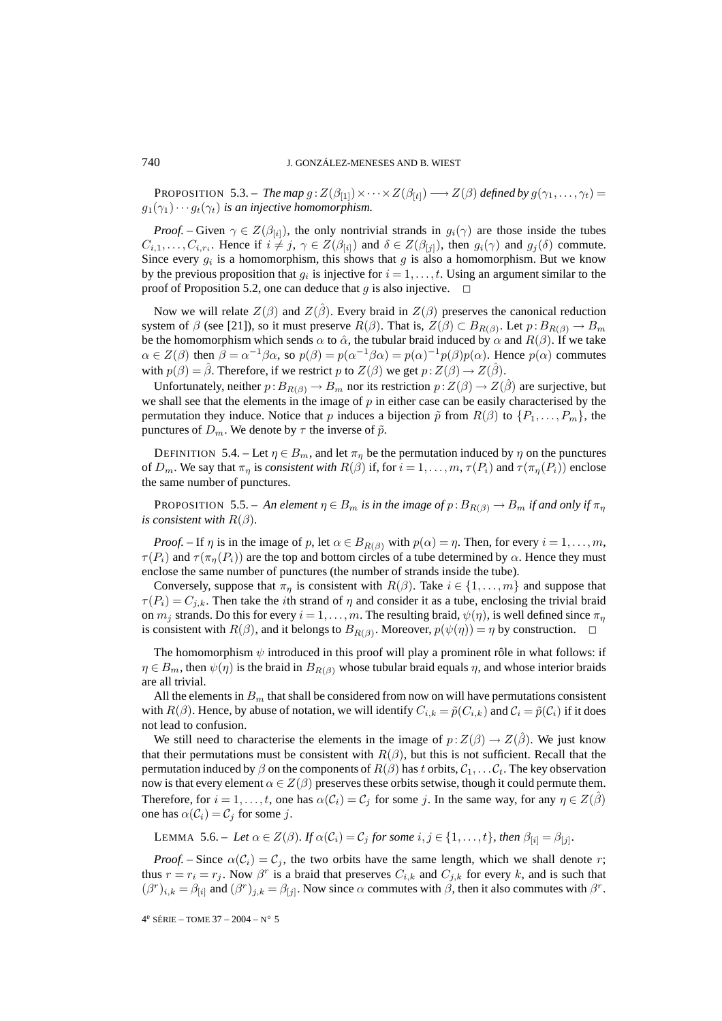**PROPOSITION** 5.3. – *The map*  $g: Z(\beta_{[1]}) \times \cdots \times Z(\beta_{[t]}) \longrightarrow Z(\beta)$  *defined by*  $g(\gamma_1, \ldots, \gamma_t) =$  $g_1(\gamma_1)\cdots g_t(\gamma_t)$  *is an injective homomorphism.* 

*Proof.* – Given  $\gamma \in Z(\beta_{[i]})$ , the only nontrivial strands in  $g_i(\gamma)$  are those inside the tubes  $C_{i,1},\ldots,C_{i,r_i}$ . Hence if  $i \neq j$ ,  $\gamma \in Z(\beta_{[i]})$  and  $\delta \in Z(\beta_{[j]})$ , then  $g_i(\gamma)$  and  $g_j(\delta)$  commute. Since every  $g_i$  is a homomorphism, this shows that g is also a homomorphism. But we know by the previous proposition that  $g_i$  is injective for  $i = 1, \ldots, t$ . Using an argument similar to the proof of Proposition 5.2, one can deduce that g is also injective.  $\Box$ 

Now we will relate  $Z(\beta)$  and  $Z(\beta)$ . Every braid in  $Z(\beta)$  preserves the canonical reduction system of  $\beta$  (see [21]), so it must preserve  $R(\beta)$ . That is,  $Z(\beta) \subset B_{R(\beta)}$ . Let  $p: B_{R(\beta)} \to B_m$ be the homomorphism which sends  $\alpha$  to  $\hat{\alpha}$ , the tubular braid induced by  $\alpha$  and  $R(\beta)$ . If we take  $\alpha \in Z(\beta)$  then  $\beta = \alpha^{-1}\beta\alpha$ , so  $p(\beta) = p(\alpha^{-1}\beta\alpha) = p(\alpha)^{-1}p(\beta)p(\alpha)$ . Hence  $p(\alpha)$  commutes with  $p(\beta) = \hat{\beta}$ . Therefore, if we restrict p to  $Z(\beta)$  we get  $p : Z(\beta) \rightarrow Z(\hat{\beta})$ .

Unfortunately, neither  $p : B_{R(\beta)} \to B_m$  nor its restriction  $p : Z(\beta) \to Z(\beta)$  are surjective, but we shall see that the elements in the image of  $p$  in either case can be easily characterised by the permutation they induce. Notice that p induces a bijection  $\tilde{p}$  from  $R(\beta)$  to  $\{P_1,\ldots,P_m\}$ , the punctures of  $D_m$ . We denote by  $\tau$  the inverse of  $\tilde{p}$ .

DEFINITION 5.4. – Let  $\eta \in B_m$ , and let  $\pi_\eta$  be the permutation induced by  $\eta$  on the punctures of  $D_m$ . We say that  $\pi_\eta$  is *consistent with*  $R(\beta)$  if, for  $i = 1, \ldots, m$ ,  $\tau(P_i)$  and  $\tau(\pi_\eta(P_i))$  enclose the same number of punctures.

**PROPOSITION** 5.5. – An element  $\eta \in B_m$  is in the image of  $p : B_{R(\beta)} \to B_m$  if and only if  $\pi_n$ *is consistent with*  $R(\beta)$ *.* 

*Proof.* – If  $\eta$  is in the image of  $p$ , let  $\alpha \in B_{R(\beta)}$  with  $p(\alpha) = \eta$ . Then, for every  $i = 1, \ldots, m$ ,  $\tau(P_i)$  and  $\tau(\pi_n(P_i))$  are the top and bottom circles of a tube determined by  $\alpha$ . Hence they must enclose the same number of punctures (the number of strands inside the tube).

Conversely, suppose that  $\pi_{\eta}$  is consistent with  $R(\beta)$ . Take  $i \in \{1, ..., m\}$  and suppose that  $\tau(P_i) = C_{j,k}$ . Then take the *i*th strand of  $\eta$  and consider it as a tube, enclosing the trivial braid on  $m_j$  strands. Do this for every  $i = 1, \ldots, m$ . The resulting braid,  $\psi(\eta)$ , is well defined since  $\pi_\eta$ is consistent with  $R(\beta)$ , and it belongs to  $B_{R(\beta)}$ . Moreover,  $p(\psi(\eta)) = \eta$  by construction.  $\Box$ 

The homomorphism  $\psi$  introduced in this proof will play a prominent rôle in what follows: if  $\eta \in B_m$ , then  $\psi(\eta)$  is the braid in  $B_{R(\beta)}$  whose tubular braid equals  $\eta$ , and whose interior braids are all trivial.

All the elements in  $B<sub>m</sub>$  that shall be considered from now on will have permutations consistent with  $R(\beta)$ . Hence, by abuse of notation, we will identify  $C_{i,k} = \tilde{p}(C_{i,k})$  and  $C_i = \tilde{p}(C_i)$  if it does not lead to confusion.

We still need to characterise the elements in the image of  $p:Z(\beta) \to Z(\beta)$ . We just know that their permutations must be consistent with  $R(\beta)$ , but this is not sufficient. Recall that the permutation induced by  $\beta$  on the components of  $R(\beta)$  has t orbits,  $C_1, \ldots, C_t$ . The key observation now is that every element  $\alpha \in Z(\beta)$  preserves these orbits setwise, though it could permute them. Therefore, for  $i = 1, \ldots, t$ , one has  $\alpha(C_i) = C_j$  for some j. In the same way, for any  $\eta \in Z(\beta)$ one has  $\alpha(C_i) = C_j$  for some j.

LEMMA 5.6. – *Let*  $\alpha \in Z(\beta)$ *. If*  $\alpha(C_i) = C_j$  *for some*  $i, j \in \{1, ..., t\}$ *, then*  $\beta_{[i]} = \beta_{[j]}$ *.* 

*Proof.* – Since  $\alpha(C_i) = C_j$ , the two orbits have the same length, which we shall denote r; thus  $r = r_i = r_j$ . Now  $\beta^r$  is a braid that preserves  $C_{i,k}$  and  $C_{j,k}$  for every k, and is such that  $(\beta^r)_{i,k} = \beta_{[i]}$  and  $(\beta^r)_{i,k} = \beta_{[i]}$ . Now since  $\alpha$  commutes with  $\beta$ , then it also commutes with  $\beta^r$ .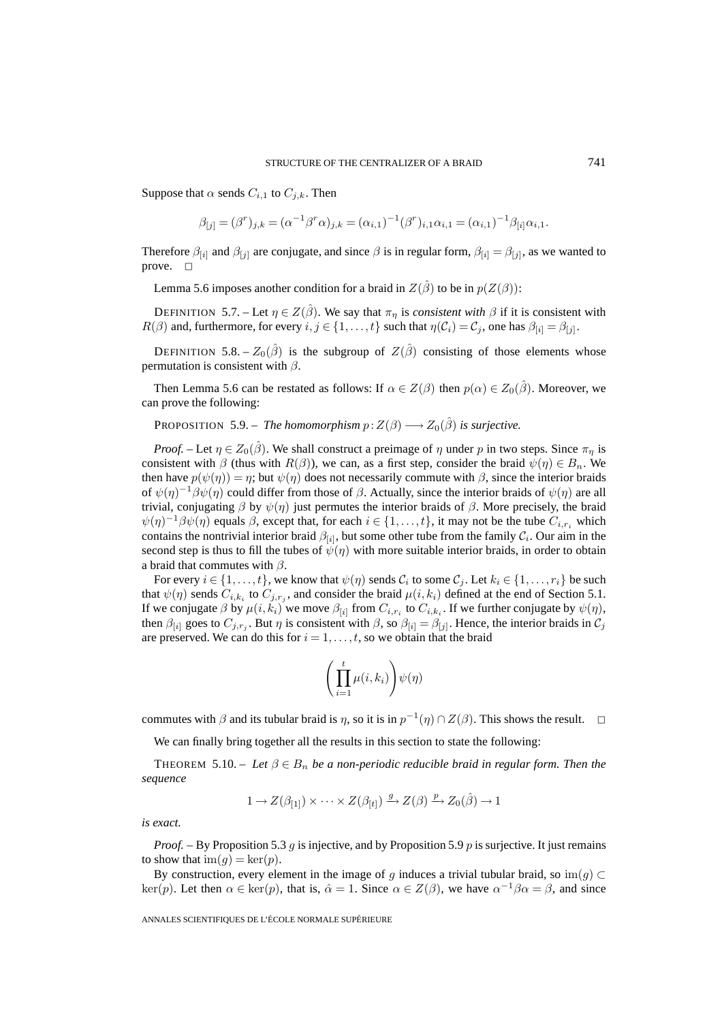Suppose that  $\alpha$  sends  $C_{i,1}$  to  $C_{j,k}$ . Then

$$
\beta_{[j]} = (\beta^r)_{j,k} = (\alpha^{-1}\beta^r\alpha)_{j,k} = (\alpha_{i,1})^{-1}(\beta^r)_{i,1}\alpha_{i,1} = (\alpha_{i,1})^{-1}\beta_{[i]}\alpha_{i,1}.
$$

Therefore  $\beta_{[i]}$  and  $\beta_{[j]}$  are conjugate, and since  $\beta$  is in regular form,  $\beta_{[i]} = \beta_{[j]}$ , as we wanted to prove.  $\square$ 

Lemma 5.6 imposes another condition for a braid in  $Z(\hat{\beta})$  to be in  $p(Z(\beta))$ :

DEFINITION 5.7. – Let  $\eta \in Z(\hat{\beta})$ . We say that  $\pi_{\eta}$  is *consistent with*  $\beta$  if it is consistent with  $R(\beta)$  and, furthermore, for every  $i, j \in \{1, ..., t\}$  such that  $\eta(C_i) = C_j$ , one has  $\beta_{[i]} = \beta_{[j]}$ .

DEFINITION 5.8. –  $Z_0(\hat{\beta})$  is the subgroup of  $Z(\hat{\beta})$  consisting of those elements whose permutation is consistent with  $\beta$ .

Then Lemma 5.6 can be restated as follows: If  $\alpha \in Z(\beta)$  then  $p(\alpha) \in Z_0(\hat{\beta})$ . Moreover, we can prove the following:

**PROPOSITION** 5.9. – *The homomorphism*  $p: Z(\beta) \longrightarrow Z_0(\hat{\beta})$  *is surjective.* 

*Proof.* – Let  $\eta \in Z_0(\hat{\beta})$ . We shall construct a preimage of  $\eta$  under p in two steps. Since  $\pi_\eta$  is consistent with  $\beta$  (thus with  $R(\beta)$ ), we can, as a first step, consider the braid  $\psi(\eta) \in B_n$ . We then have  $p(\psi(\eta)) = \eta$ ; but  $\psi(\eta)$  does not necessarily commute with  $\beta$ , since the interior braids of  $\psi(\eta)^{-1}\beta\psi(\eta)$  could differ from those of  $\beta$ . Actually, since the interior braids of  $\psi(\eta)$  are all trivial, conjugating  $β$  by  $ψ(η)$  just permutes the interior braids of  $β$ . More precisely, the braid  $\psi(\eta)^{-1}\beta\psi(\eta)$  equals  $\beta$ , except that, for each  $i \in \{1,\ldots,t\}$ , it may not be the tube  $C_{i,r_i}$  which contains the nontrivial interior braid  $\beta_{[i]}$ , but some other tube from the family  $\mathcal{C}_i$ . Our aim in the second step is thus to fill the tubes of  $\psi(\eta)$  with more suitable interior braids, in order to obtain a braid that commutes with  $\beta$ .

For every  $i \in \{1, ..., t\}$ , we know that  $\psi(\eta)$  sends  $C_i$  to some  $C_j$ . Let  $k_i \in \{1, ..., r_i\}$  be such that  $\psi(\eta)$  sends  $C_{i,k_i}$  to  $C_{j,r_j}$ , and consider the braid  $\mu(i,k_i)$  defined at the end of Section 5.1. If we conjugate  $\beta$  by  $\mu(i, k_i)$  we move  $\beta_{[i]}$  from  $C_{i,r_i}$  to  $C_{i,k_i}$ . If we further conjugate by  $\psi(\eta)$ , then  $\beta_{[i]}$  goes to  $C_{j,r_i}$ . But  $\eta$  is consistent with  $\beta$ , so  $\beta_{[i]} = \beta_{[j]}$ . Hence, the interior braids in  $C_j$ are preserved. We can do this for  $i = 1, \ldots, t$ , so we obtain that the braid

$$
\Bigg(\prod_{i=1}^t\mu(i,k_i)\Bigg)\psi(\eta)
$$

commutes with  $\beta$  and its tubular braid is  $\eta$ , so it is in  $p^{-1}(\eta) \cap Z(\beta)$ . This shows the result.  $\Box$ 

We can finally bring together all the results in this section to state the following:

THEOREM 5.10. – Let  $\beta \in B_n$  be a non-periodic reducible braid in regular form. Then the *sequence*

$$
1 \to Z(\beta_{[1]}) \times \cdots \times Z(\beta_{[t]}) \xrightarrow{g} Z(\beta) \xrightarrow{p} Z_0(\hat{\beta}) \to 1
$$

*is exact.*

*Proof.* – By Proposition 5.3 g is injective, and by Proposition 5.9 p is surjective. It just remains to show that  $\text{im}(g) = \text{ker}(p)$ .

By construction, every element in the image of g induces a trivial tubular braid, so  $\text{im}(g) \subset$ ker(p). Let then  $\alpha \in \text{ker}(p)$ , that is,  $\hat{\alpha} = 1$ . Since  $\alpha \in Z(\beta)$ , we have  $\alpha^{-1}\beta\alpha = \beta$ , and since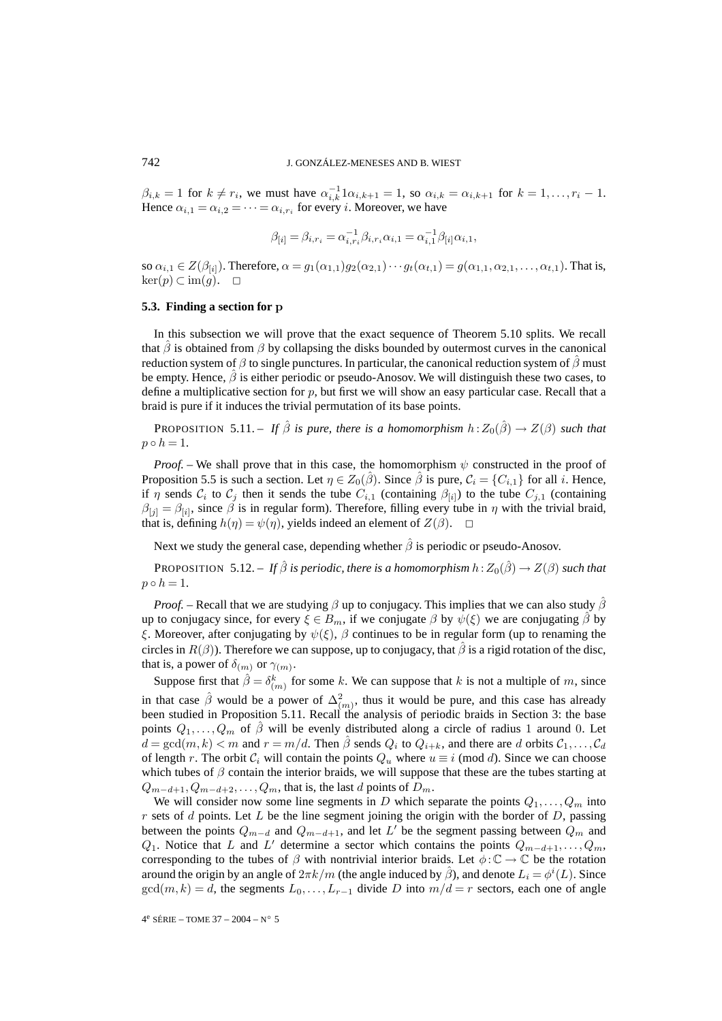$\beta_{i,k} = 1$  for  $k \neq r_i$ , we must have  $\alpha_{i,k}^{-1} 1 \alpha_{i,k+1} = 1$ , so  $\alpha_{i,k} = \alpha_{i,k+1}$  for  $k = 1, \ldots, r_i - 1$ . Hence  $\alpha_{i,1} = \alpha_{i,2} = \cdots = \alpha_{i,r_i}$  for every *i*. Moreover, we have

$$
\beta_{[i]} = \beta_{i,r_i} = \alpha_{i,r_i}^{-1} \beta_{i,r_i} \alpha_{i,1} = \alpha_{i,1}^{-1} \beta_{[i]} \alpha_{i,1},
$$

so  $\alpha_{i,1} \in Z(\beta_{[i]})$ . Therefore,  $\alpha = g_1(\alpha_{1,1})g_2(\alpha_{2,1})\cdots g_t(\alpha_{t,1}) = g(\alpha_{1,1}, \alpha_{2,1}, \ldots, \alpha_{t,1})$ . That is,  $\ker(p)$  ⊂ im $(g)$ . □

## **5.3. Finding a section for p**

In this subsection we will prove that the exact sequence of Theorem 5.10 splits. We recall that  $\beta$  is obtained from  $\beta$  by collapsing the disks bounded by outermost curves in the canonical reduction system of  $\beta$  to single punctures. In particular, the canonical reduction system of  $\beta$  must be empty. Hence,  $\beta$  is either periodic or pseudo-Anosov. We will distinguish these two cases, to define a multiplicative section for  $p$ , but first we will show an easy particular case. Recall that a braid is pure if it induces the trivial permutation of its base points.

PROPOSITION 5.11. – *If*  $\hat{\beta}$  *is pure, there is a homomorphism*  $h: Z_0(\hat{\beta}) \to Z(\beta)$  *such that*  $p \circ h = 1.$ 

*Proof.* – We shall prove that in this case, the homomorphism  $\psi$  constructed in the proof of Proposition 5.5 is such a section. Let  $\eta \in Z_0(\hat{\beta})$ . Since  $\hat{\beta}$  is pure,  $C_i = \{C_{i,1}\}\$ for all i. Hence, if  $\eta$  sends  $C_i$  to  $C_j$  then it sends the tube  $C_{i,1}$  (containing  $\beta_{[i]}$ ) to the tube  $C_{j,1}$  (containing  $\beta_{[j]} = \beta_{[i]}$ , since  $\beta$  is in regular form). Therefore, filling every tube in  $\eta$  with the trivial braid, that is, defining  $h(\eta) = \psi(\eta)$ , yields indeed an element of  $Z(\beta)$ .  $\Box$ 

Next we study the general case, depending whether  $\hat{\beta}$  is periodic or pseudo-Anosov.

PROPOSITION 5.12. – *If*  $\hat{\beta}$  *is periodic, there is a homomorphism*  $h: Z_0(\hat{\beta}) \to Z(\beta)$  *such that*  $p \circ h = 1.$ 

*Proof.* – Recall that we are studying  $\beta$  up to conjugacy. This implies that we can also study  $\hat{\beta}$ up to conjugacy since, for every  $\xi \in B_m$ , if we conjugate  $\beta$  by  $\psi(\xi)$  we are conjugating  $\beta$  by ξ. Moreover, after conjugating by  $\psi(\xi)$ ,  $\beta$  continues to be in regular form (up to renaming the circles in  $R(\beta)$ ). Therefore we can suppose, up to conjugacy, that  $\beta$  is a rigid rotation of the disc, that is, a power of  $\delta_{(m)}$  or  $\gamma_{(m)}$ .

Suppose first that  $\hat{\beta} = \delta_{(m)}^k$  for some k. We can suppose that k is not a multiple of m, since in that case  $\hat{\beta}$  would be a power of  $\Delta^2_{(m)}$ , thus it would be pure, and this case has already been studied in Proposition 5.11. Recall the analysis of periodic braids in Section 3: the base points  $Q_1, \ldots, Q_m$  of  $\hat{\beta}$  will be evenly distributed along a circle of radius 1 around 0. Let  $d = \gcd(m, k) < m$  and  $r = m/d$ . Then  $\hat{\beta}$  sends  $Q_i$  to  $Q_{i+k}$ , and there are d orbits  $C_1, \ldots, C_d$ of length r. The orbit  $C_i$  will contain the points  $Q_u$  where  $u \equiv i \pmod{d}$ . Since we can choose which tubes of  $\beta$  contain the interior braids, we will suppose that these are the tubes starting at  $Q_{m-d+1}, Q_{m-d+2}, \ldots, Q_m$ , that is, the last d points of  $D_m$ .

We will consider now some line segments in D which separate the points  $Q_1, \ldots, Q_m$  into  $r$  sets of  $d$  points. Let  $L$  be the line segment joining the origin with the border of  $D$ , passing between the points  $Q_{m-d}$  and  $Q_{m-d+1}$ , and let  $L'$  be the segment passing between  $Q_m$  and  $Q_1$ . Notice that L and L' determine a sector which contains the points  $Q_{m-d+1},...,Q_m$ , corresponding to the tubes of  $\beta$  with nontrivial interior braids. Let  $\phi : \mathbb{C} \to \mathbb{C}$  be the rotation around the origin by an angle of  $2\pi k/m$  (the angle induced by  $\hat{\beta}$ ), and denote  $L_i = \phi^i(L)$ . Since  $gcd(m, k) = d$ , the segments  $L_0, \ldots, L_{r-1}$  divide D into  $m/d = r$  sectors, each one of angle

4e SÉRIE – TOME 37 – 2004 – N◦ 5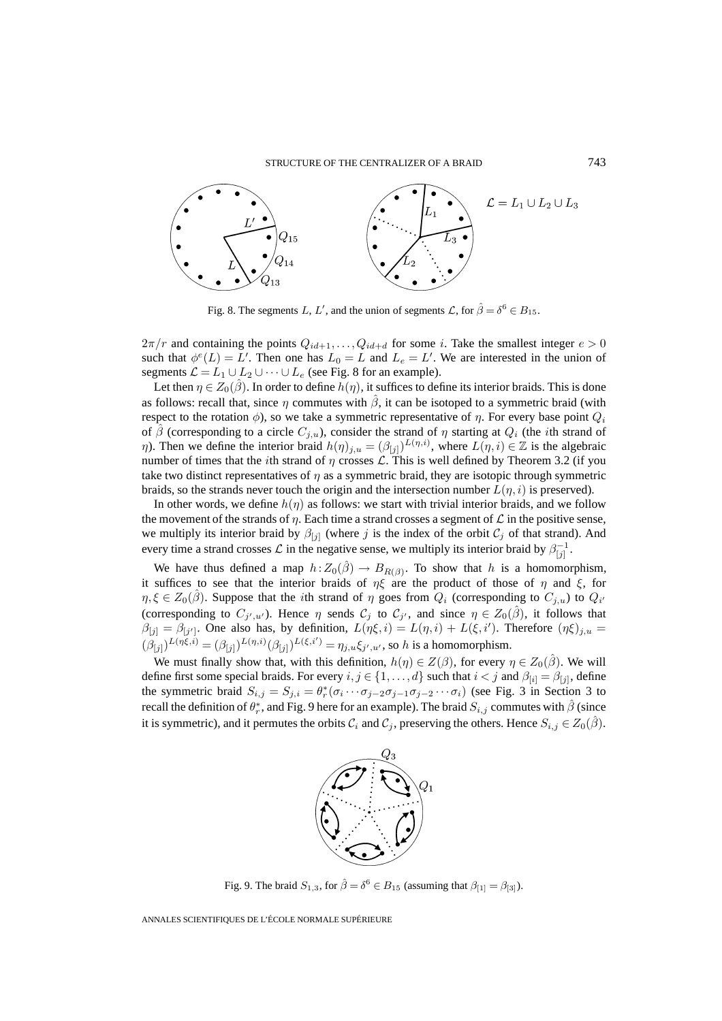

Fig. 8. The segments L, L', and the union of segments  $\mathcal{L}$ , for  $\hat{\beta} = \delta^6 \in B_{15}$ .

 $2\pi/r$  and containing the points  $Q_{id+1}, \ldots, Q_{id+d}$  for some i. Take the smallest integer  $e > 0$ such that  $\phi^{e}(L) = L'$ . Then one has  $L_0 = L$  and  $L_e = L'$ . We are interested in the union of segments  $\mathcal{L} = L_1 \cup L_2 \cup \cdots \cup L_e$  (see Fig. 8 for an example).

Let then  $\eta \in Z_0(\hat{\beta})$ . In order to define  $h(\eta)$ , it suffices to define its interior braids. This is done as follows: recall that, since  $\eta$  commutes with  $\hat{\beta}$ , it can be isotoped to a symmetric braid (with respect to the rotation  $\phi$ ), so we take a symmetric representative of  $\eta$ . For every base point  $Q_i$ of  $\hat{\beta}$  (corresponding to a circle  $C_{i,u}$ ), consider the strand of  $\eta$  starting at  $Q_i$  (the *i*th strand of  $\eta$ ). Then we define the interior braid  $h(\eta)_{j,u} = (\beta_{[j]})^{L(\eta,i)}$ , where  $L(\eta,i) \in \mathbb{Z}$  is the algebraic number of times that the *i*th strand of  $\eta$  crosses  $\mathcal{L}$ . This is well defined by Theorem 3.2 (if you take two distinct representatives of  $\eta$  as a symmetric braid, they are isotopic through symmetric braids, so the strands never touch the origin and the intersection number  $L(\eta, i)$  is preserved).

In other words, we define  $h(\eta)$  as follows: we start with trivial interior braids, and we follow the movement of the strands of  $\eta$ . Each time a strand crosses a segment of  $\mathcal L$  in the positive sense, we multiply its interior braid by  $\beta_{[j]}$  (where j is the index of the orbit  $\mathcal{C}_j$  of that strand). And every time a strand crosses  $\mathcal L$  in the negative sense, we multiply its interior braid by  $\beta_{[j]}^{-1}$ .

We have thus defined a map  $h:Z_0(\hat{\beta}) \to B_{R(\beta)}$ . To show that h is a homomorphism, it suffices to see that the interior braids of  $\eta\xi$  are the product of those of  $\eta$  and  $\xi$ , for  $\eta, \xi \in Z_0(\hat{\beta})$ . Suppose that the *i*th strand of  $\eta$  goes from  $Q_i$  (corresponding to  $C_{j,u}$ ) to  $Q_i$ (corresponding to  $C_{j',u'}$ ). Hence  $\eta$  sends  $C_j$  to  $C_{j'}$ , and since  $\eta \in Z_0(\hat{\beta})$ , it follows that  $\beta_{[j]} = \beta_{[j']}$ . One also has, by definition,  $L(\eta\xi, i) = L(\eta, i) + L(\xi, i')$ . Therefore  $(\eta\xi)_{j,u} =$  $(\beta_{[j]})^{L(\eta\xi,i)} = (\beta_{[j]})^{L(\eta,i)}(\beta_{[j]})^{L(\xi,i')} = \eta_{j,u}\xi_{j',u'}$ , so h is a homomorphism.

We must finally show that, with this definition,  $h(\eta) \in Z(\beta)$ , for every  $\eta \in Z_0(\hat{\beta})$ . We will define first some special braids. For every  $i, j \in \{1, ..., d\}$  such that  $i < j$  and  $\beta_{[i]} = \beta_{[j]}$ , define the symmetric braid  $S_{i,j} = S_{j,i} = \theta_r^*(\sigma_i \cdots \sigma_{j-2} \sigma_{j-1} \sigma_{j-2} \cdots \sigma_i)$  (see Fig. 3 in Section 3 to recall the definition of  $\theta^*_r$ , and Fig. 9 here for an example). The braid  $S_{i,j}$  commutes with  $\hat{\beta}$  (since it is symmetric), and it permutes the orbits  $C_i$  and  $C_j$ , preserving the others. Hence  $S_{i,j} \in Z_0(\hat{\beta})$ .



Fig. 9. The braid  $S_{1,3}$ , for  $\hat{\beta} = \delta^6 \in B_{15}$  (assuming that  $\beta_{[1]} = \beta_{[3]}$ ).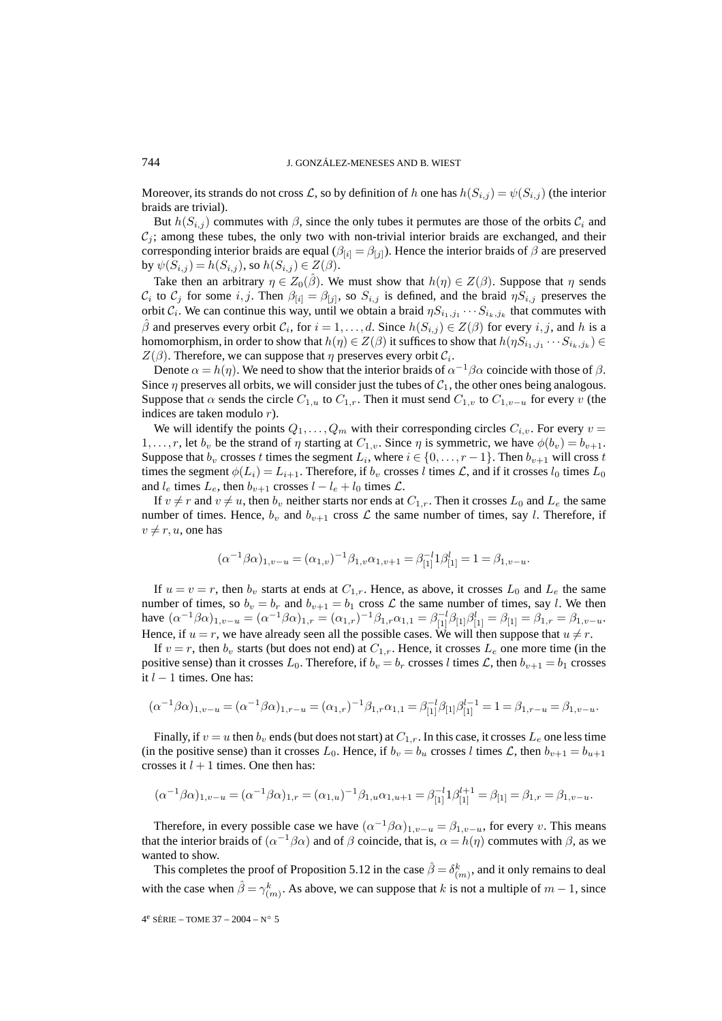Moreover, its strands do not cross L, so by definition of h one has  $h(S_{i,j}) = \psi(S_{i,j})$  (the interior braids are trivial).

But  $h(S_{i,j})$  commutes with  $\beta$ , since the only tubes it permutes are those of the orbits  $\mathcal{C}_i$  and  $C_i$ ; among these tubes, the only two with non-trivial interior braids are exchanged, and their corresponding interior braids are equal ( $\beta_{[i]} = \beta_{[j]}$ ). Hence the interior braids of  $\beta$  are preserved by  $\psi(S_{i,j}) = h(S_{i,j})$ , so  $h(S_{i,j}) \in Z(\beta)$ .

Take then an arbitrary  $\eta \in Z_0(\hat{\beta})$ . We must show that  $h(\eta) \in Z(\beta)$ . Suppose that  $\eta$  sends  $C_i$  to  $C_j$  for some  $i, j$ . Then  $\beta_{[i]} = \beta_{[j]}$ , so  $S_{i,j}$  is defined, and the braid  $\eta S_{i,j}$  preserves the orbit  $C_i$ . We can continue this way, until we obtain a braid  $\eta S_{i_1,j_1} \cdots S_{i_k,j_k}$  that commutes with  $\beta$  and preserves every orbit  $\mathcal{C}_i$ , for  $i = 1, \ldots, d$ . Since  $h(S_{i,j}) \in Z(\beta)$  for every  $i, j$ , and h is a homomorphism, in order to show that  $h(\eta) \in Z(\beta)$  it suffices to show that  $h(\eta S_{i_1,j_1} \cdots S_{i_k,j_k}) \in$  $Z(\beta)$ . Therefore, we can suppose that  $\eta$  preserves every orbit  $\mathcal{C}_i$ .

Denote  $\alpha = h(\eta)$ . We need to show that the interior braids of  $\alpha^{-1}\beta\alpha$  coincide with those of  $\beta$ . Since  $\eta$  preserves all orbits, we will consider just the tubes of  $C_1$ , the other ones being analogous. Suppose that  $\alpha$  sends the circle  $C_{1,u}$  to  $C_{1,r}$ . Then it must send  $C_{1,v}$  to  $C_{1,v-u}$  for every v (the indices are taken modulo r).

We will identify the points  $Q_1, \ldots, Q_m$  with their corresponding circles  $C_{i,v}$ . For every  $v =$  $1,\ldots,r$ , let  $b_v$  be the strand of  $\eta$  starting at  $C_{1,v}$ . Since  $\eta$  is symmetric, we have  $\phi(b_v) = b_{v+1}$ . Suppose that  $b_v$  crosses t times the segment  $L_i$ , where  $i \in \{0, \ldots, r-1\}$ . Then  $b_{v+1}$  will cross t times the segment  $\phi(L_i) = L_{i+1}$ . Therefore, if  $b_v$  crosses l times L, and if it crosses  $l_0$  times  $L_0$ and  $l_e$  times  $L_e$ , then  $b_{v+1}$  crosses  $l - l_e + l_0$  times  $\mathcal{L}$ .

If  $v \neq r$  and  $v \neq u$ , then  $b_v$  neither starts nor ends at  $C_{1,r}$ . Then it crosses  $L_0$  and  $L_e$  the same number of times. Hence,  $b_v$  and  $b_{v+1}$  cross  $\mathcal L$  the same number of times, say l. Therefore, if  $v \neq r, u$ , one has

$$
(\alpha^{-1}\beta\alpha)_{1,v-u} = (\alpha_{1,v})^{-1}\beta_{1,v}\alpha_{1,v+1} = \beta_{[1]}^{-1}\beta_{[1]}^{l} = 1 = \beta_{1,v-u}.
$$

If  $u = v = r$ , then  $b_v$  starts at ends at  $C_{1,r}$ . Hence, as above, it crosses  $L_0$  and  $L_e$  the same number of times, so  $b_v = b_r$  and  $b_{v+1} = b_1$  cross  $\mathcal L$  the same number of times, say l. We then have  $(\alpha^{-1}\beta\alpha)_{1,v-u} = (\alpha^{-1}\beta\alpha)_{1,r} = (\alpha_{1,r})^{-1}\beta_{1,r}\alpha_{1,1} = \beta_{[1]}^{-1}\beta_{[1]}\beta_{[1]}^{l} = \beta_{[1]} = \beta_{1,r} = \beta_{1,v-u}$ . Hence, if  $u = r$ , we have already seen all the possible cases. We will then suppose that  $u \neq r$ .

If  $v = r$ , then  $b_v$  starts (but does not end) at  $C_{1,r}$ . Hence, it crosses  $L_e$  one more time (in the positive sense) than it crosses  $L_0$ . Therefore, if  $b_v = b_r$  crosses l times  $\mathcal{L}$ , then  $b_{v+1} = b_1$  crosses it  $l − 1$  times. One has:

$$
(\alpha^{-1}\beta\alpha)_{1,v-u} = (\alpha^{-1}\beta\alpha)_{1,r-u} = (\alpha_{1,r})^{-1}\beta_{1,r}\alpha_{1,1} = \beta_{[1]}^{-1}\beta_{[1]}\beta_{[1]}^{l-1} = 1 = \beta_{1,r-u} = \beta_{1,v-u}.
$$

Finally, if  $v = u$  then  $b_v$  ends (but does not start) at  $C_{1,r}$ . In this case, it crosses  $L_e$  one less time (in the positive sense) than it crosses  $L_0$ . Hence, if  $b_v = b_u$  crosses l times  $\mathcal{L}$ , then  $b_{v+1} = b_{u+1}$ crosses it  $l + 1$  times. One then has:

$$
(\alpha^{-1}\beta\alpha)_{1,v-u} = (\alpha^{-1}\beta\alpha)_{1,r} = (\alpha_{1,u})^{-1}\beta_{1,u}\alpha_{1,u+1} = \beta_{[1]}^{-1}1\beta_{[1]}^{l+1} = \beta_{[1]} = \beta_{1,r} = \beta_{1,v-u}.
$$

Therefore, in every possible case we have  $(\alpha^{-1}\beta\alpha)_{1,v-u} = \beta_{1,v-u}$ , for every v. This means that the interior braids of  $(\alpha^{-1}\beta\alpha)$  and of  $\beta$  coincide, that is,  $\alpha = h(\eta)$  commutes with  $\beta$ , as we wanted to show.

This completes the proof of Proposition 5.12 in the case  $\hat{\beta} = \delta^k_{(m)}$ , and it only remains to deal with the case when  $\hat{\beta} = \gamma_{(m)}^k$ . As above, we can suppose that k is not a multiple of  $m-1$ , since

4e SÉRIE – TOME 37 – 2004 – N◦ 5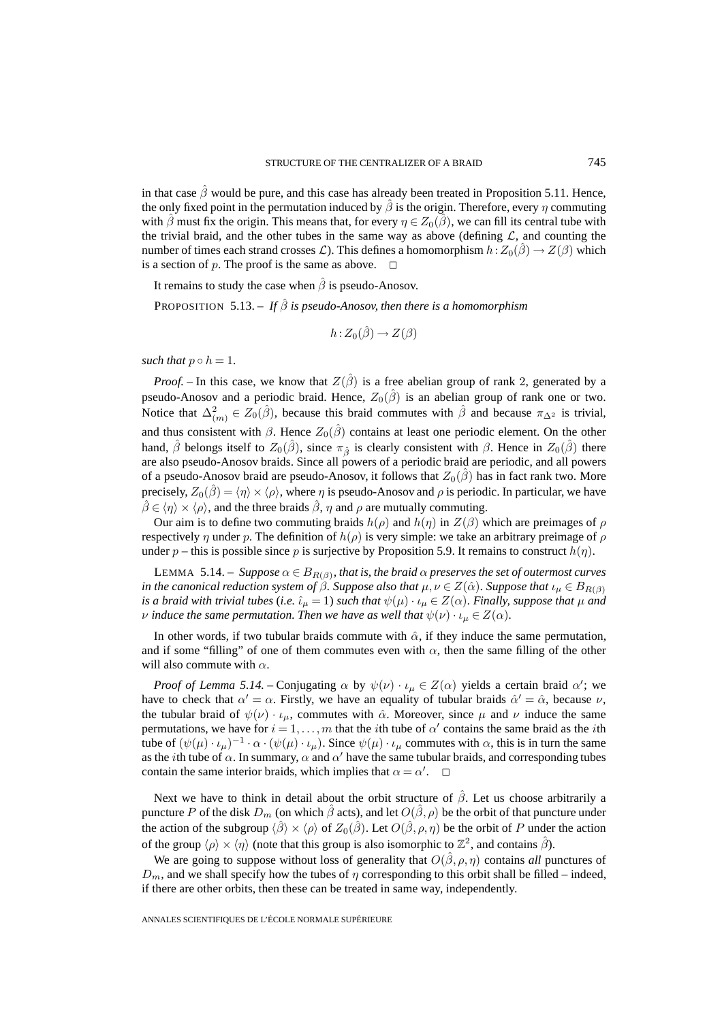in that case  $\hat{\beta}$  would be pure, and this case has already been treated in Proposition 5.11. Hence, the only fixed point in the permutation induced by  $\hat{\beta}$  is the origin. Therefore, every  $\eta$  commuting with  $\hat{\beta}$  must fix the origin. This means that, for every  $\eta \in Z_0(\hat{\beta})$ , we can fill its central tube with the trivial braid, and the other tubes in the same way as above (defining  $\mathcal{L}$ , and counting the number of times each strand crosses  $\mathcal{L}$ ). This defines a homomorphism  $h : Z_0(\beta) \to Z(\beta)$  which is a section of p. The proof is the same as above.  $\Box$ 

It remains to study the case when  $\hat{\beta}$  is pseudo-Anosov.

**PROPOSITION** 5.13. – *If*  $\hat{\beta}$  *is pseudo-Anosov, then there is a homomorphism* 

$$
h: Z_0(\hat{\beta}) \to Z(\beta)
$$

*such that*  $p \circ h = 1$ .

*Proof.* – In this case, we know that  $Z(\hat{\beta})$  is a free abelian group of rank 2, generated by a pseudo-Anosov and a periodic braid. Hence,  $Z_0(\hat{\beta})$  is an abelian group of rank one or two. Notice that  $\Delta^2_{(m)} \in Z_0(\hat{\beta})$ , because this braid commutes with  $\hat{\beta}$  and because  $\pi_{\Delta^2}$  is trivial, and thus consistent with  $\beta$ . Hence  $Z_0(\hat{\beta})$  contains at least one periodic element. On the other hand,  $\hat{\beta}$  belongs itself to  $Z_0(\hat{\beta})$ , since  $\pi_{\hat{\beta}}$  is clearly consistent with  $\beta$ . Hence in  $Z_0(\hat{\beta})$  there are also pseudo-Anosov braids. Since all powers of a periodic braid are periodic, and all powers of a pseudo-Anosov braid are pseudo-Anosov, it follows that  $Z_0(\beta)$  has in fact rank two. More precisely,  $Z_0(\hat{\beta}) = \langle \eta \rangle \times \langle \rho \rangle$ , where  $\eta$  is pseudo-Anosov and  $\rho$  is periodic. In particular, we have  $\hat{\beta} \in \langle \eta \rangle \times \langle \rho \rangle$ , and the three braids  $\hat{\beta}$ ,  $\eta$  and  $\rho$  are mutually commuting.

Our aim is to define two commuting braids  $h(\rho)$  and  $h(\eta)$  in  $Z(\beta)$  which are preimages of  $\rho$ respectively  $\eta$  under p. The definition of  $h(\rho)$  is very simple: we take an arbitrary preimage of  $\rho$ under p – this is possible since p is surjective by Proposition 5.9. It remains to construct  $h(\eta)$ .

LEMMA 5.14. – *Suppose*  $\alpha \in B_{R(\beta)}$ *, that is, the braid*  $\alpha$  *preserves the set of outermost curves in the canonical reduction system of*  $\beta$ *. Suppose also that*  $\mu, \nu \in Z(\hat{\alpha})$ *. Suppose that*  $\iota_{\mu} \in B_{R(\beta)}$ *is a braid with trivial tubes* (*i.e.*  $\hat{\iota}_{\mu} = 1$ ) *such that*  $\psi(\mu) \cdot \iota_{\mu} \in Z(\alpha)$ *. Finally, suppose that*  $\mu$  *and v* induce the same permutation. Then we have as well that  $\psi(\nu) \cdot \iota_{\mu} \in Z(\alpha)$ .

In other words, if two tubular braids commute with  $\hat{\alpha}$ , if they induce the same permutation, and if some "filling" of one of them commutes even with  $\alpha$ , then the same filling of the other will also commute with  $\alpha$ .

*Proof of Lemma 5.14.* – Conjugating  $\alpha$  by  $\psi(\nu) \cdot \iota_{\mu} \in Z(\alpha)$  yields a certain braid  $\alpha'$ ; we have to check that  $\alpha' = \alpha$ . Firstly, we have an equality of tubular braids  $\hat{\alpha}' = \hat{\alpha}$ , because  $\nu$ , the tubular braid of  $\psi(\nu) \cdot \iota_{\mu}$ , commutes with  $\hat{\alpha}$ . Moreover, since  $\mu$  and  $\nu$  induce the same permutations, we have for  $i = 1, ..., m$  that the *i*th tube of  $\alpha'$  contains the same braid as the *i*th tube of  $(\psi(\mu) \cdot \iota_\mu)^{-1} \cdot \alpha \cdot (\psi(\mu) \cdot \iota_\mu)$ . Since  $\psi(\mu) \cdot \iota_\mu$  commutes with  $\alpha$ , this is in turn the same as the *i*th tube of  $\alpha$ . In summary,  $\alpha$  and  $\alpha'$  have the same tubular braids, and corresponding tubes contain the same interior braids, which implies that  $\alpha = \alpha'$  $\Box$ 

Next we have to think in detail about the orbit structure of  $\hat{\beta}$ . Let us choose arbitrarily a puncture P of the disk  $D_m$  (on which  $\hat{\beta}$  acts), and let  $O(\hat{\beta}, \rho)$  be the orbit of that puncture under the action of the subgroup  $\langle \hat{\beta} \rangle \times \langle \rho \rangle$  of  $Z_0(\hat{\beta})$ . Let  $O(\hat{\beta}, \rho, \eta)$  be the orbit of P under the action of the group  $\langle \rho \rangle \times \langle \eta \rangle$  (note that this group is also isomorphic to  $\mathbb{Z}^2$ , and contains  $\hat{\beta}$ ).

We are going to suppose without loss of generality that  $O(\hat{\beta}, \rho, \eta)$  contains *all* punctures of  $D_m$ , and we shall specify how the tubes of  $\eta$  corresponding to this orbit shall be filled – indeed, if there are other orbits, then these can be treated in same way, independently.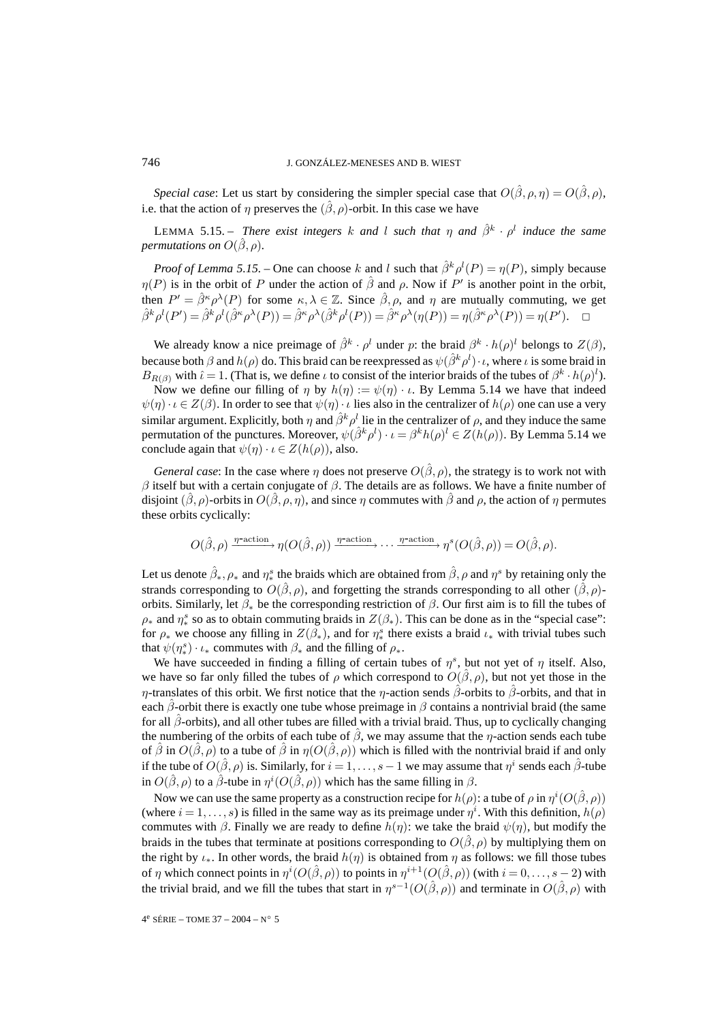*Special case*: Let us start by considering the simpler special case that  $O(\hat{\beta}, \rho, \eta) = O(\hat{\beta}, \rho)$ , i.e. that the action of  $\eta$  preserves the  $(\hat{\beta}, \rho)$ -orbit. In this case we have

LEMMA 5.15. – *There exist integers* k and l such that  $\eta$  and  $\hat{\beta}^k \cdot \rho^l$  *induce the same permutations on*  $O(\hat{\beta}, \rho)$ *.* 

*Proof of Lemma 5.15.* – One can choose k and l such that  $\hat{\beta}^k \rho^l(P) = \eta(P)$ , simply because  $\eta(P)$  is in the orbit of P under the action of  $\hat{\beta}$  and  $\rho$ . Now if P' is another point in the orbit, then  $P' = \hat{\beta}^{\kappa} \rho^{\lambda}(P)$  for some  $\kappa, \lambda \in \mathbb{Z}$ . Since  $\hat{\beta}, \rho$ , and  $\eta$  are mutually commuting, we get  $\hat{\beta}^k \rho^l(P') = \hat{\beta}^k \rho^l(\hat{\beta}^k \rho^{\lambda}(P)) = \hat{\beta}^k \rho^{\lambda}(\hat{\beta}^k \rho^l(P)) = \hat{\beta}^k \rho^{\lambda}(\eta(P)) = \eta(\hat{\beta}^k \rho^{\lambda}(P)) = \eta(P')$ .

We already know a nice preimage of  $\hat{\beta}^k \cdot \rho^l$  under p: the braid  $\beta^k \cdot h(\rho)^l$  belongs to  $Z(\beta)$ , because both  $\beta$  and  $h(\rho)$  do. This braid can be reexpressed as  $\psi(\hat{\beta}^k \rho^l) \cdot \iota$ , where  $\iota$  is some braid in  $B_{R(\beta)}$  with  $\hat{\iota} = 1$ . (That is, we define  $\iota$  to consist of the interior braids of the tubes of  $\beta^k \cdot h(\rho)^l$ ).

Now we define our filling of  $\eta$  by  $h(\eta) := \psi(\eta) \cdot \iota$ . By Lemma 5.14 we have that indeed  $\psi(\eta) \cdot \iota \in Z(\beta)$ . In order to see that  $\psi(\eta) \cdot \iota$  lies also in the centralizer of  $h(\rho)$  one can use a very similar argument. Explicitly, both  $\eta$  and  $\hat{\beta}^k \rho^l$  lie in the centralizer of  $\rho$ , and they induce the same permutation of the punctures. Moreover,  $\psi(\hat{\beta}^k \rho^l) \cdot \iota = \beta^k h(\rho)^l \in Z(h(\rho))$ . By Lemma 5.14 we conclude again that  $\psi(\eta) \cdot \iota \in Z(h(\rho))$ , also.

*General case*: In the case where  $\eta$  does not preserve  $O(\hat{\beta}, \rho)$ , the strategy is to work not with  $β$  itself but with a certain conjugate of  $β$ . The details are as follows. We have a finite number of disjoint  $(\beta, \rho)$ -orbits in  $O(\beta, \rho, \eta)$ , and since  $\eta$  commutes with  $\beta$  and  $\rho$ , the action of  $\eta$  permutes these orbits cyclically:

$$
O(\hat{\beta}, \rho) \xrightarrow{\eta\text{-action}} \eta(O(\hat{\beta}, \rho)) \xrightarrow{\eta\text{-action}} \cdots \xrightarrow{\eta\text{-action}} \eta^s(O(\hat{\beta}, \rho)) = O(\hat{\beta}, \rho).
$$

Let us denote  $\hat{\beta}_*, \rho_*$  and  $\eta_*^s$  the braids which are obtained from  $\hat{\beta}, \rho$  and  $\eta^s$  by retaining only the strands corresponding to  $O(\hat{\beta}, \rho)$ , and forgetting the strands corresponding to all other  $(\hat{\beta}, \rho)$ orbits. Similarly, let  $\beta_*$  be the corresponding restriction of  $\beta$ . Our first aim is to fill the tubes of  $\rho_*$  and  $\eta_*^s$  so as to obtain commuting braids in  $Z(\beta_*)$ . This can be done as in the "special case": for  $\rho_*$  we choose any filling in  $Z(\beta_*)$ , and for  $\eta_*^s$  there exists a braid  $\iota_*$  with trivial tubes such that  $\psi(\eta^s_*) \cdot \iota_*$  commutes with  $\beta_*$  and the filling of  $\rho_*$ .

We have succeeded in finding a filling of certain tubes of  $\eta^s$ , but not yet of  $\eta$  itself. Also, we have so far only filled the tubes of  $\rho$  which correspond to  $O(\beta, \rho)$ , but not yet those in the η-translates of this orbit. We first notice that the η-action sends  $\hat{\beta}$ -orbits to  $\hat{\beta}$ -orbits, and that in each  $\beta$ -orbit there is exactly one tube whose preimage in  $\beta$  contains a nontrivial braid (the same for all  $\beta$ -orbits), and all other tubes are filled with a trivial braid. Thus, up to cyclically changing the numbering of the orbits of each tube of  $\hat{\beta}$ , we may assume that the  $\eta$ -action sends each tube of  $\hat{\beta}$  in  $O(\hat{\beta}, \rho)$  to a tube of  $\hat{\beta}$  in  $\eta(O(\hat{\beta}, \rho))$  which is filled with the nontrivial braid if and only if the tube of  $O(\hat{\beta}, \rho)$  is. Similarly, for  $i = 1, \ldots, s - 1$  we may assume that  $\eta^i$  sends each  $\hat{\beta}$ -tube in  $O(\hat{\beta}, \rho)$  to a  $\hat{\beta}$ -tube in  $\eta^{i}(O(\hat{\beta}, \rho))$  which has the same filling in  $\beta$ .

Now we can use the same property as a construction recipe for  $h(\rho)$ : a tube of  $\rho$  in  $\eta^{i}(O(\hat{\beta}, \rho))$ (where  $i = 1, \ldots, s$ ) is filled in the same way as its preimage under  $\eta^i$ . With this definition,  $h(\rho)$ commutes with  $\beta$ . Finally we are ready to define  $h(\eta)$ : we take the braid  $\psi(\eta)$ , but modify the braids in the tubes that terminate at positions corresponding to  $O(\hat{\beta}, \rho)$  by multiplying them on the right by  $\iota_*$ . In other words, the braid  $h(\eta)$  is obtained from  $\eta$  as follows: we fill those tubes of  $\eta$  which connect points in  $\eta^{i}(O(\hat{\beta}, \rho))$  to points in  $\eta^{i+1}(O(\hat{\beta}, \rho))$  (with  $i = 0, \ldots, s-2$ ) with the trivial braid, and we fill the tubes that start in  $\eta^{s-1}(O(\hat{\beta}, \rho))$  and terminate in  $O(\hat{\beta}, \rho)$  with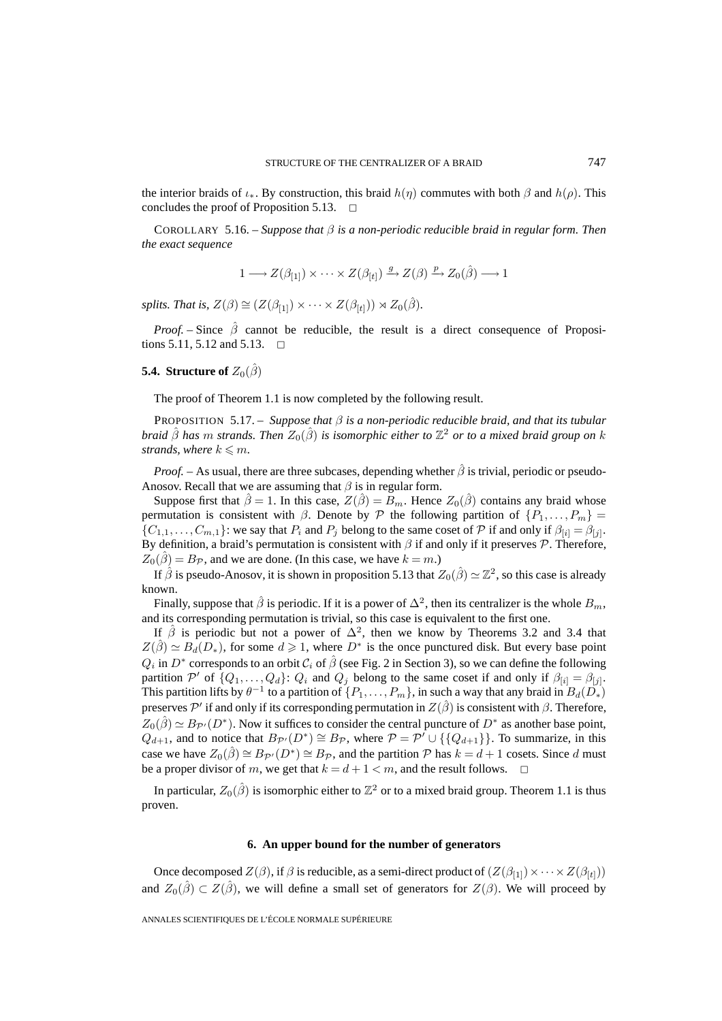the interior braids of  $\iota_*$ . By construction, this braid  $h(\eta)$  commutes with both  $\beta$  and  $h(\rho)$ . This concludes the proof of Proposition 5.13.  $\Box$ 

COROLLARY 5.16. – *Suppose that* β *is a non-periodic reducible braid in regular form. Then the exact sequence*

$$
1 \longrightarrow Z(\beta_{[1]}) \times \cdots \times Z(\beta_{[t]}) \xrightarrow{g} Z(\beta) \xrightarrow{p} Z_0(\hat{\beta}) \longrightarrow 1
$$

*splits. That is,*  $Z(\beta) \cong (Z(\beta_{[1]}) \times \cdots \times Z(\beta_{[t]})) \rtimes Z_0(\hat{\beta})$ .

*Proof.* – Since  $\hat{\beta}$  cannot be reducible, the result is a direct consequence of Propositions 5.11, 5.12 and 5.13.  $\Box$ 

# **5.4. Structure of**  $Z_0(\hat{\beta})$

The proof of Theorem 1.1 is now completed by the following result.

PROPOSITION 5.17. – *Suppose that* β *is a non-periodic reducible braid, and that its tubular braid*  $\hat{\beta}$  *has* m *strands. Then*  $Z_0(\hat{\beta})$  *is isomorphic either to*  $\mathbb{Z}^2$  *or to a mixed braid group on* k strands, where  $k \leq m$ .

*Proof.* – As usual, there are three subcases, depending whether  $\hat{\beta}$  is trivial, periodic or pseudo-Anosov. Recall that we are assuming that  $\beta$  is in regular form.

Suppose first that  $\hat{\beta} = 1$ . In this case,  $Z(\hat{\beta}) = B_m$ . Hence  $Z_0(\hat{\beta})$  contains any braid whose permutation is consistent with  $\beta$ . Denote by  $\mathcal P$  the following partition of  $\{P_1,\ldots,P_m\}$  $\{C_{1,1},\ldots,C_{m,1}\}\right)$ : we say that  $P_i$  and  $P_j$  belong to the same coset of  $P$  if and only if  $\beta_{[i]} = \beta_{[j]}$ . By definition, a braid's permutation is consistent with  $\beta$  if and only if it preserves  $\mathcal{P}$ . Therefore,  $Z_0(\hat{\beta}) = B_{\mathcal{P}}$ , and we are done. (In this case, we have  $k = m$ .)

If  $\hat{\beta}$  is pseudo-Anosov, it is shown in proposition 5.13 that  $Z_0(\hat{\beta}) \simeq \mathbb{Z}^2$ , so this case is already known.

Finally, suppose that  $\hat{\beta}$  is periodic. If it is a power of  $\Delta^2$ , then its centralizer is the whole  $B_m$ , and its corresponding permutation is trivial, so this case is equivalent to the first one.

If  $\hat{\beta}$  is periodic but not a power of  $\Delta^2$ , then we know by Theorems 3.2 and 3.4 that  $Z(\hat{\beta}) \simeq B_d(D_*)$ , for some  $d \geq 1$ , where  $D^*$  is the once punctured disk. But every base point  $Q_i$  in  $D^*$  corresponds to an orbit  $C_i$  of  $\hat{\beta}$  (see Fig. 2 in Section 3), so we can define the following partition P' of  $\{Q_1,\ldots,Q_d\}$ :  $Q_i$  and  $Q_j$  belong to the same coset if and only if  $\beta_{[i]} = \beta_{[j]}$ . This partition lifts by  $\theta^{-1}$  to a partition of  $\{P_1,\ldots,P_m\}$ , in such a way that any braid in  $B_d(D_*)$ preserves  $\mathcal{P}'$  if and only if its corresponding permutation in  $Z(\hat{\beta})$  is consistent with  $\beta$ . Therefore,  $Z_0(\hat{\beta}) \simeq B_{\mathcal{P}'}(D^*)$ . Now it suffices to consider the central puncture of  $D^*$  as another base point,  $Q_{d+1}$ , and to notice that  $B_{\mathcal{P}}(D^*) \cong B_{\mathcal{P}}$ , where  $\mathcal{P} = \mathcal{P}^{\prime} \cup \{\{Q_{d+1}\}\}\.$  To summarize, in this case we have  $Z_0(\hat{\beta}) \cong B_{\mathcal{P}'}(D^*) \cong B_{\mathcal{P}}$ , and the partition  $\mathcal P$  has  $k = d + 1$  cosets. Since d must be a proper divisor of m, we get that  $k = d + 1 < m$ , and the result follows.

In particular,  $Z_0(\hat{\beta})$  is isomorphic either to  $\mathbb{Z}^2$  or to a mixed braid group. Theorem 1.1 is thus proven.

#### **6. An upper bound for the number of generators**

Once decomposed  $Z(\beta)$ , if  $\beta$  is reducible, as a semi-direct product of  $(Z(\beta_{[1]}) \times \cdots \times Z(\beta_{[t]}))$ and  $Z_0(\hat{\beta}) \subset Z(\hat{\beta})$ , we will define a small set of generators for  $Z(\beta)$ . We will proceed by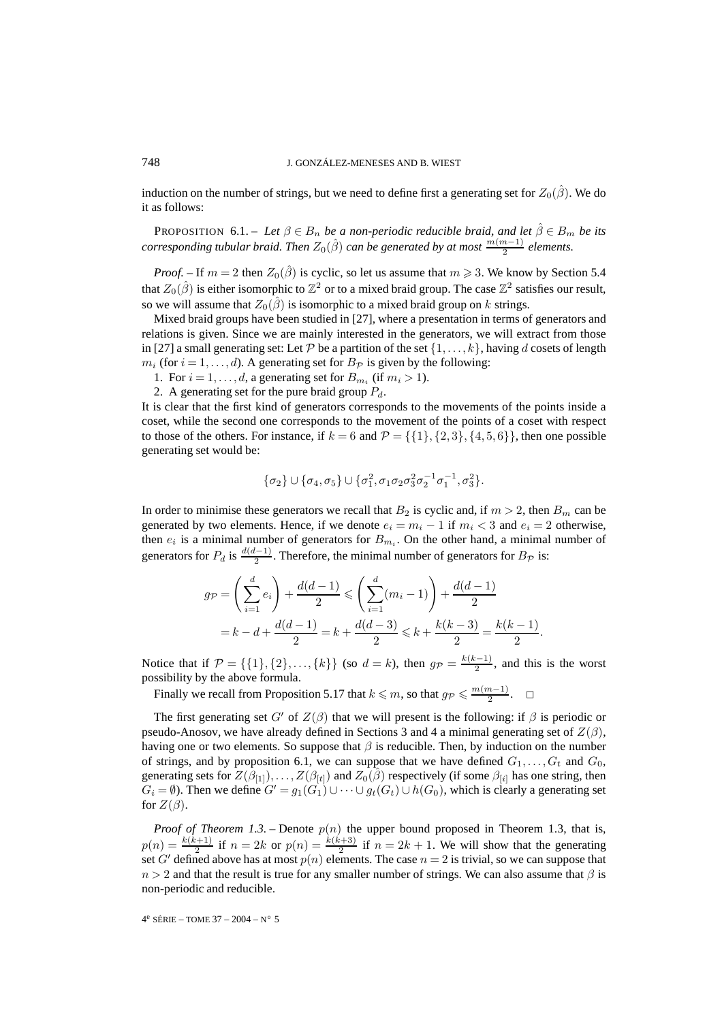induction on the number of strings, but we need to define first a generating set for  $Z_0(\hat{\beta})$ . We do it as follows:

PROPOSITION 6.1. – Let  $\beta \in B_n$  be a non-periodic reducible braid, and let  $\hat{\beta} \in B_m$  be its *corresponding tubular braid. Then*  $Z_0(\hat{\beta})$  *can be generated by at most*  $\frac{m(m-1)}{2}$  *elements.* 

*Proof.* – If  $m = 2$  then  $Z_0(\hat{\beta})$  is cyclic, so let us assume that  $m \ge 3$ . We know by Section 5.4 that  $Z_0(\hat{\beta})$  is either isomorphic to  $\mathbb{Z}^2$  or to a mixed braid group. The case  $\mathbb{Z}^2$  satisfies our result, so we will assume that  $Z_0(\hat{\beta})$  is isomorphic to a mixed braid group on k strings.

Mixed braid groups have been studied in [27], where a presentation in terms of generators and relations is given. Since we are mainly interested in the generators, we will extract from those in [27] a small generating set: Let P be a partition of the set  $\{1,\ldots,k\}$ , having d cosets of length  $m_i$  (for  $i = 1, \ldots, d$ ). A generating set for  $B_{\mathcal{P}}$  is given by the following:

- 1. For  $i = 1, \ldots, d$ , a generating set for  $B_{m_i}$  (if  $m_i > 1$ ).
- 2. A generating set for the pure braid group  $P_d$ .

It is clear that the first kind of generators corresponds to the movements of the points inside a coset, while the second one corresponds to the movement of the points of a coset with respect to those of the others. For instance, if  $k = 6$  and  $\mathcal{P} = \{\{1\}, \{2, 3\}, \{4, 5, 6\}\}\,$ , then one possible generating set would be:

$$
\{\sigma_2\} \cup \{\sigma_4, \sigma_5\} \cup \{\sigma_1^2, \sigma_1 \sigma_2 \sigma_3^2 \sigma_2^{-1} \sigma_1^{-1}, \sigma_3^2\}.
$$

In order to minimise these generators we recall that  $B_2$  is cyclic and, if  $m > 2$ , then  $B_m$  can be generated by two elements. Hence, if we denote  $e_i = m_i - 1$  if  $m_i < 3$  and  $e_i = 2$  otherwise, then  $e_i$  is a minimal number of generators for  $B_{m_i}$ . On the other hand, a minimal number of generators for  $P_d$  is  $\frac{d(d-1)}{2}$ . Therefore, the minimal number of generators for  $B_{\mathcal{P}}$  is:

$$
g_{\mathcal{P}} = \left(\sum_{i=1}^{d} e_i\right) + \frac{d(d-1)}{2} \leqslant \left(\sum_{i=1}^{d} (m_i - 1)\right) + \frac{d(d-1)}{2}
$$
  
=  $k - d + \frac{d(d-1)}{2} = k + \frac{d(d-3)}{2} \leqslant k + \frac{k(k-3)}{2} = \frac{k(k-1)}{2}$ .

Notice that if  $\mathcal{P} = \{\{1\}, \{2\}, \ldots, \{k\}\}\$  (so  $d = k$ ), then  $g_{\mathcal{P}} = \frac{k(k-1)}{2}$ , and this is the worst possibility by the above formula.

Finally we recall from Proposition 5.17 that  $k \leq m$ , so that  $g_P \leq \frac{m(m-1)}{2}$ .  $\Box$ 

The first generating set G' of  $Z(\beta)$  that we will present is the following: if  $\beta$  is periodic or pseudo-Anosov, we have already defined in Sections 3 and 4 a minimal generating set of  $Z(\beta)$ , having one or two elements. So suppose that  $\beta$  is reducible. Then, by induction on the number of strings, and by proposition 6.1, we can suppose that we have defined  $G_1, \ldots, G_t$  and  $G_0$ , generating sets for  $Z(\beta_{[1]})$ ,...,  $Z(\beta_{[t]})$  and  $Z_0(\beta)$  respectively (if some  $\beta_{[i]}$  has one string, then  $G_i = \emptyset$ ). Then we define  $G' = g_1(G_1) \cup \cdots \cup g_t(G_t) \cup h(G_0)$ , which is clearly a generating set for  $Z(\beta)$ .

*Proof of Theorem 1.3.* – Denote  $p(n)$  the upper bound proposed in Theorem 1.3, that is,  $p(n) = \frac{k(k+1)}{2}$  if  $n = 2k$  or  $p(n) = \frac{k(k+3)}{2}$  if  $n = 2k + 1$ . We will show that the generating set G' defined above has at most  $p(n)$  elements. The case  $n = 2$  is trivial, so we can suppose that  $n > 2$  and that the result is true for any smaller number of strings. We can also assume that  $\beta$  is non-periodic and reducible.

4<sup>e</sup> SÉRIE – TOME 37 – 2004 – N° 5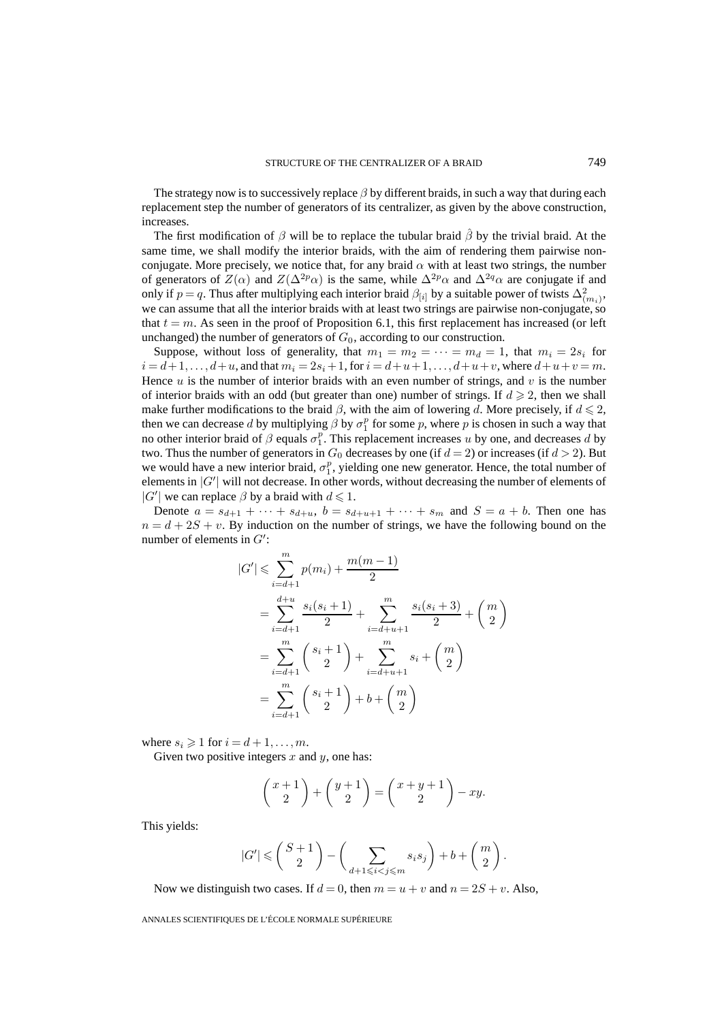The strategy now is to successively replace  $\beta$  by different braids, in such a way that during each replacement step the number of generators of its centralizer, as given by the above construction, increases.

The first modification of  $\beta$  will be to replace the tubular braid  $\hat{\beta}$  by the trivial braid. At the same time, we shall modify the interior braids, with the aim of rendering them pairwise nonconjugate. More precisely, we notice that, for any braid  $\alpha$  with at least two strings, the number of generators of  $Z(\alpha)$  and  $Z(\Delta^{2p}\alpha)$  is the same, while  $\Delta^{2p}\alpha$  and  $\Delta^{2q}\alpha$  are conjugate if and only if  $p = q$ . Thus after multiplying each interior braid  $\beta_{[i]}$  by a suitable power of twists  $\Delta^2_{(m_i)}$ , we can assume that all the interior braids with at least two strings are pairwise non-conjugate, so that  $t = m$ . As seen in the proof of Proposition 6.1, this first replacement has increased (or left unchanged) the number of generators of  $G_0$ , according to our construction.

Suppose, without loss of generality, that  $m_1 = m_2 = \cdots = m_d = 1$ , that  $m_i = 2s_i$  for  $i = d+1, \ldots, d+u$ , and that  $m_i = 2s_i+1$ , for  $i = d+u+1, \ldots, d+u+v$ , where  $d+u+v=m$ . Hence  $u$  is the number of interior braids with an even number of strings, and  $v$  is the number of interior braids with an odd (but greater than one) number of strings. If  $d \ge 2$ , then we shall make further modifications to the braid  $\beta$ , with the aim of lowering d. More precisely, if  $d \leq 2$ , then we can decrease d by multiplying  $\beta$  by  $\sigma_1^p$  for some p, where p is chosen in such a way that no other interior braid of  $\beta$  equals  $\sigma_1^p$ . This replacement increases u by one, and decreases d by two. Thus the number of generators in  $G_0$  decreases by one (if  $d = 2$ ) or increases (if  $d > 2$ ). But we would have a new interior braid,  $\sigma_1^p$ , yielding one new generator. Hence, the total number of elements in  $|G'|$  will not decrease. In other words, without decreasing the number of elements of  $|G'|$  we can replace  $\beta$  by a braid with  $d \leq 1$ .

Denote  $a = s_{d+1} + \cdots + s_{d+u}, b = s_{d+u+1} + \cdots + s_m$  and  $S = a + b$ . Then one has  $n = d + 2S + v$ . By induction on the number of strings, we have the following bound on the number of elements in  $G'$ :

$$
|G'| \leq \sum_{i=d+1}^{m} p(m_i) + \frac{m(m-1)}{2}
$$
  
= 
$$
\sum_{i=d+1}^{d+u} \frac{s_i(s_i+1)}{2} + \sum_{i=d+u+1}^{m} \frac{s_i(s_i+3)}{2} + {m \choose 2}
$$
  
= 
$$
\sum_{i=d+1}^{m} {s_i+1 \choose 2} + \sum_{i=d+u+1}^{m} s_i + {m \choose 2}
$$
  
= 
$$
\sum_{i=d+1}^{m} {s_i+1 \choose 2} + b + {m \choose 2}
$$

where  $s_i \geq 1$  for  $i = d + 1, \ldots, m$ .

Given two positive integers  $x$  and  $y$ , one has:

$$
\binom{x+1}{2} + \binom{y+1}{2} = \binom{x+y+1}{2} - xy.
$$

This yields:

$$
|G'| \leqslant \binom{S+1}{2} - \left(\sum_{d+1 \leqslant i < j \leqslant m} s_i s_j\right) + b + \binom{m}{2}.
$$

Now we distinguish two cases. If  $d = 0$ , then  $m = u + v$  and  $n = 2S + v$ . Also,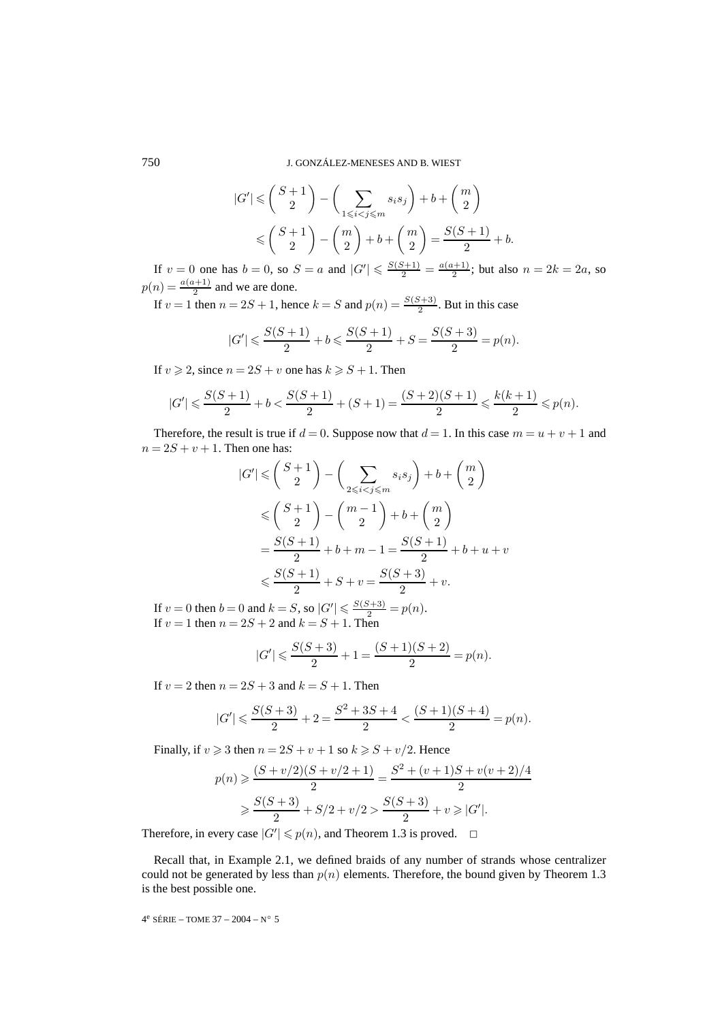750 J. GONZÁLEZ-MENESES AND B. WIEST

$$
|G'| \leq {S+1 \choose 2} - \left(\sum_{1 \leq i < j \leq m} s_i s_j\right) + b + {m \choose 2} \leq {S+1 \choose 2} - {m \choose 2} + b + {m \choose 2} = \frac{S(S+1)}{2} + b.
$$

If  $v = 0$  one has  $b = 0$ , so  $S = a$  and  $|G'| \le \frac{S(S+1)}{2} = \frac{a(a+1)}{2}$ ; but also  $n = 2k = 2a$ , so  $p(n) = \frac{a(a+1)}{2}$  and we are done.

If  $v = 1$  then  $n = 2S + 1$ , hence  $k = S$  and  $p(n) = \frac{S(S+3)}{2}$ . But in this case

$$
|G'| \leqslant \frac{S(S+1)}{2} + b \leqslant \frac{S(S+1)}{2} + S = \frac{S(S+3)}{2} = p(n).
$$

If  $v \ge 2$ , since  $n = 2S + v$  one has  $k \ge S + 1$ . Then

$$
|G'|\leqslant \frac{S(S+1)}{2}+b<\frac{S(S+1)}{2}+(S+1)=\frac{(S+2)(S+1)}{2}\leqslant \frac{k(k+1)}{2}\leqslant p(n).
$$

Therefore, the result is true if  $d = 0$ . Suppose now that  $d = 1$ . In this case  $m = u + v + 1$  and  $n = 2S + v + 1$ . Then one has:

$$
|G'|\leqslant {S+1\choose 2}-\Big(\sum_{2\leqslant i
$$

If  $v = 0$  then  $b = 0$  and  $k = S$ , so  $|G'| \le \frac{S(S+3)}{2} = p(n)$ . If  $v = 1$  then  $n = 2S + 2$  and  $k = S + 1$ . Then

$$
|G'| \leqslant \frac{S(S+3)}{2} + 1 = \frac{(S+1)(S+2)}{2} = p(n).
$$

If  $v = 2$  then  $n = 2S + 3$  and  $k = S + 1$ . Then

$$
|G'| \leqslant \frac{S(S+3)}{2}+2 = \frac{S^2+3S+4}{2} < \frac{(S+1)(S+4)}{2} = p(n).
$$

Finally, if  $v \ge 3$  then  $n = 2S + v + 1$  so  $k \ge S + v/2$ . Hence

$$
p(n) \geq \frac{(S+v/2)(S+v/2+1)}{2} = \frac{S^2 + (v+1)S + v(v+2)/4}{2}
$$
  

$$
\geq \frac{S(S+3)}{2} + S/2 + v/2 > \frac{S(S+3)}{2} + v \geq |G'|.
$$

Therefore, in every case  $|G'| \leq p(n)$ , and Theorem 1.3 is proved.  $\Box$ 

Recall that, in Example 2.1, we defined braids of any number of strands whose centralizer could not be generated by less than  $p(n)$  elements. Therefore, the bound given by Theorem 1.3 is the best possible one.

4<sup>e</sup> SÉRIE – TOME 37 – 2004 – N° 5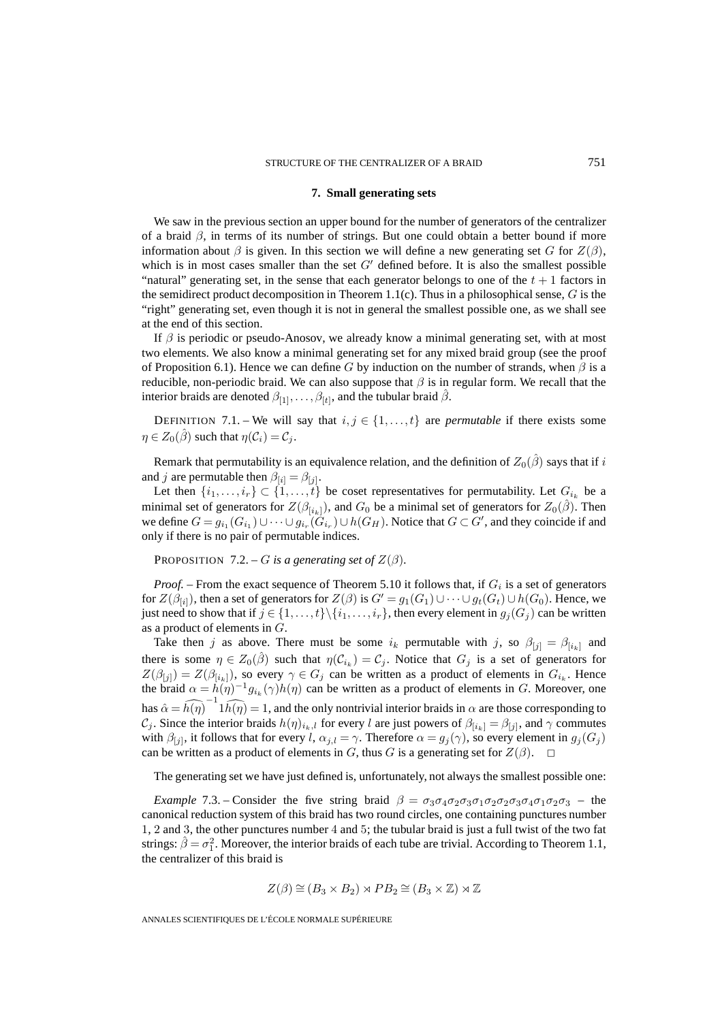### **7. Small generating sets**

We saw in the previous section an upper bound for the number of generators of the centralizer of a braid  $\beta$ , in terms of its number of strings. But one could obtain a better bound if more information about  $\beta$  is given. In this section we will define a new generating set G for  $Z(\beta)$ , which is in most cases smaller than the set  $G'$  defined before. It is also the smallest possible "natural" generating set, in the sense that each generator belongs to one of the  $t + 1$  factors in the semidirect product decomposition in Theorem 1.1(c). Thus in a philosophical sense,  $G$  is the "right" generating set, even though it is not in general the smallest possible one, as we shall see at the end of this section.

If  $\beta$  is periodic or pseudo-Anosov, we already know a minimal generating set, with at most two elements. We also know a minimal generating set for any mixed braid group (see the proof of Proposition 6.1). Hence we can define G by induction on the number of strands, when  $\beta$  is a reducible, non-periodic braid. We can also suppose that  $\beta$  is in regular form. We recall that the interior braids are denoted  $\beta_{[1]},\ldots,\beta_{[t]},$  and the tubular braid  $\beta$ .

DEFINITION 7.1. – We will say that  $i, j \in \{1, ..., t\}$  are *permutable* if there exists some  $\eta \in Z_0(\beta)$  such that  $\eta(C_i) = C_i$ .

Remark that permutability is an equivalence relation, and the definition of  $Z_0(\hat{\beta})$  says that if i and *j* are permutable then  $\beta_{[i]} = \beta_{[j]}$ .

Let then  $\{i_1,\ldots,i_r\}\subset \{1,\ldots,t\}$  be coset representatives for permutability. Let  $G_{i_k}$  be a minimal set of generators for  $Z(\beta_{[i_k]})$ , and  $G_0$  be a minimal set of generators for  $Z_0(\hat{\beta})$ . Then we define  $G = g_{i_1}(G_{i_1}) \cup \cdots \cup g_{i_r}(G_{i_r}) \cup h(G_H)$ . Notice that  $G \subset G'$ , and they coincide if and only if there is no pair of permutable indices.

PROPOSITION 7.2. – G is a generating set of  $Z(\beta)$ .

*Proof.* – From the exact sequence of Theorem 5.10 it follows that, if  $G_i$  is a set of generators for  $Z(\beta_{[i]})$ , then a set of generators for  $Z(\beta)$  is  $G'=g_1(G_1)\cup\cdots\cup g_t(G_t)\cup h(G_0)$ . Hence, we just need to show that if  $j \in \{1,\ldots,t\} \setminus \{i_1,\ldots,i_r\}$ , then every element in  $g_j(G_j)$  can be written as a product of elements in G.

Take then j as above. There must be some  $i_k$  permutable with j, so  $\beta_{[j]} = \beta_{[i_k]}$  and there is some  $\eta \in Z_0(\hat{\beta})$  such that  $\eta(C_{i_k}) = C_j$ . Notice that  $G_j$  is a set of generators for  $Z(\beta_{[j]}) = Z(\beta_{[i_k]})$ , so every  $\gamma \in G_j$  can be written as a product of elements in  $G_{i_k}$ . Hence the braid  $\alpha = h(\eta)^{-1} g_{i_k}(\gamma) h(\eta)$  can be written as a product of elements in G. Moreover, one has  $\hat{\alpha} = \widehat{h(\eta)}^{-1} \widehat{h(\eta)} = 1$ , and the only nontrivial interior braids in  $\alpha$  are those corresponding to  $C_j$ . Since the interior braids  $h(\eta)_{i_k,l}$  for every l are just powers of  $\beta_{[i_k]} = \beta_{[j]}$ , and  $\gamma$  commutes with  $\beta_{[j]}$ , it follows that for every l,  $\alpha_{j,l} = \gamma$ . Therefore  $\alpha = g_j(\gamma)$ , so every element in  $g_j(G_j)$ can be written as a product of elements in G, thus G is a generating set for  $Z(\beta)$ .  $\Box$ 

The generating set we have just defined is, unfortunately, not always the smallest possible one:

*Example* 7.3. – Consider the five string braid  $\beta = \sigma_3 \sigma_4 \sigma_2 \sigma_3 \sigma_1 \sigma_2 \sigma_3 \sigma_4 \sigma_1 \sigma_2 \sigma_3$  – the canonical reduction system of this braid has two round circles, one containing punctures number 1, 2 and 3, the other punctures number 4 and 5; the tubular braid is just a full twist of the two fat strings:  $\hat{\beta} = \sigma_1^2$ . Moreover, the interior braids of each tube are trivial. According to Theorem 1.1, the centralizer of this braid is

$$
Z(\beta) \cong (B_3 \times B_2) \rtimes PB_2 \cong (B_3 \times \mathbb{Z}) \rtimes \mathbb{Z}
$$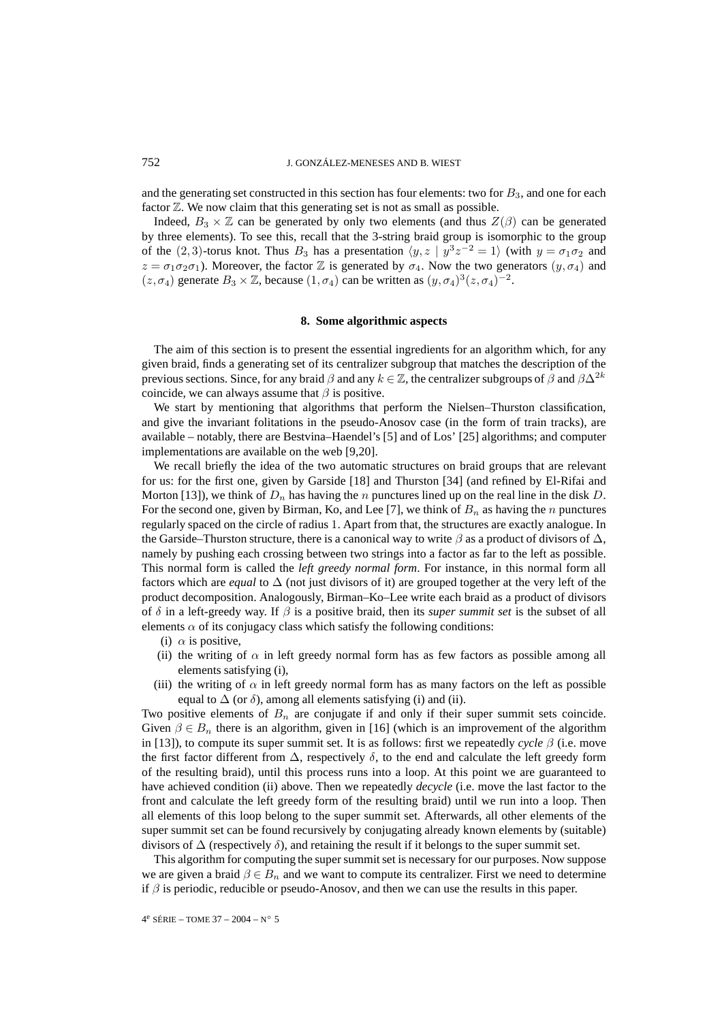and the generating set constructed in this section has four elements: two for  $B_3$ , and one for each factor  $\mathbb{Z}$ . We now claim that this generating set is not as small as possible.

Indeed,  $B_3 \times \mathbb{Z}$  can be generated by only two elements (and thus  $Z(\beta)$  can be generated by three elements). To see this, recall that the 3-string braid group is isomorphic to the group of the (2,3)-torus knot. Thus  $B_3$  has a presentation  $\langle y, z | y^3 z^{-2} = 1 \rangle$  (with  $y = \sigma_1 \sigma_2$  and  $z = \sigma_1 \sigma_2 \sigma_1$ ). Moreover, the factor Z is generated by  $\sigma_4$ . Now the two generators  $(y, \sigma_4)$  and  $(z, \sigma_4)$  generate  $B_3 \times \mathbb{Z}$ , because  $(1, \sigma_4)$  can be written as  $(y, \sigma_4)^3(z, \sigma_4)^{-2}$ .

### **8. Some algorithmic aspects**

The aim of this section is to present the essential ingredients for an algorithm which, for any given braid, finds a generating set of its centralizer subgroup that matches the description of the previous sections. Since, for any braid  $\beta$  and any  $k \in \mathbb{Z}$ , the centralizer subgroups of  $\beta$  and  $\beta \Delta^{2k}$ coincide, we can always assume that  $\beta$  is positive.

We start by mentioning that algorithms that perform the Nielsen–Thurston classification, and give the invariant folitations in the pseudo-Anosov case (in the form of train tracks), are available – notably, there are Bestvina–Haendel's [5] and of Los' [25] algorithms; and computer implementations are available on the web [9,20].

We recall briefly the idea of the two automatic structures on braid groups that are relevant for us: for the first one, given by Garside [18] and Thurston [34] (and refined by El-Rifai and Morton [13]), we think of  $D_n$  has having the n punctures lined up on the real line in the disk D. For the second one, given by Birman, Ko, and Lee [7], we think of  $B_n$  as having the n punctures regularly spaced on the circle of radius 1. Apart from that, the structures are exactly analogue. In the Garside–Thurston structure, there is a canonical way to write  $\beta$  as a product of divisors of  $\Delta$ , namely by pushing each crossing between two strings into a factor as far to the left as possible. This normal form is called the *left greedy normal form*. For instance, in this normal form all factors which are *equal* to ∆ (not just divisors of it) are grouped together at the very left of the product decomposition. Analogously, Birman–Ko–Lee write each braid as a product of divisors of  $\delta$  in a left-greedy way. If  $\beta$  is a positive braid, then its *super summit set* is the subset of all elements  $\alpha$  of its conjugacy class which satisfy the following conditions:

- (i)  $\alpha$  is positive,
- (ii) the writing of  $\alpha$  in left greedy normal form has as few factors as possible among all elements satisfying (i),
- (iii) the writing of  $\alpha$  in left greedy normal form has as many factors on the left as possible equal to  $\Delta$  (or  $\delta$ ), among all elements satisfying (i) and (ii).

Two positive elements of  $B_n$  are conjugate if and only if their super summit sets coincide. Given  $\beta \in B_n$  there is an algorithm, given in [16] (which is an improvement of the algorithm in [13]), to compute its super summit set. It is as follows: first we repeatedly *cycle*  $\beta$  (i.e. move the first factor different from  $\Delta$ , respectively  $\delta$ , to the end and calculate the left greedy form of the resulting braid), until this process runs into a loop. At this point we are guaranteed to have achieved condition (ii) above. Then we repeatedly *decycle* (i.e. move the last factor to the front and calculate the left greedy form of the resulting braid) until we run into a loop. Then all elements of this loop belong to the super summit set. Afterwards, all other elements of the super summit set can be found recursively by conjugating already known elements by (suitable) divisors of  $\Delta$  (respectively  $\delta$ ), and retaining the result if it belongs to the super summit set.

This algorithm for computing the super summit set is necessary for our purposes. Now suppose we are given a braid  $\beta \in B_n$  and we want to compute its centralizer. First we need to determine if  $\beta$  is periodic, reducible or pseudo-Anosov, and then we can use the results in this paper.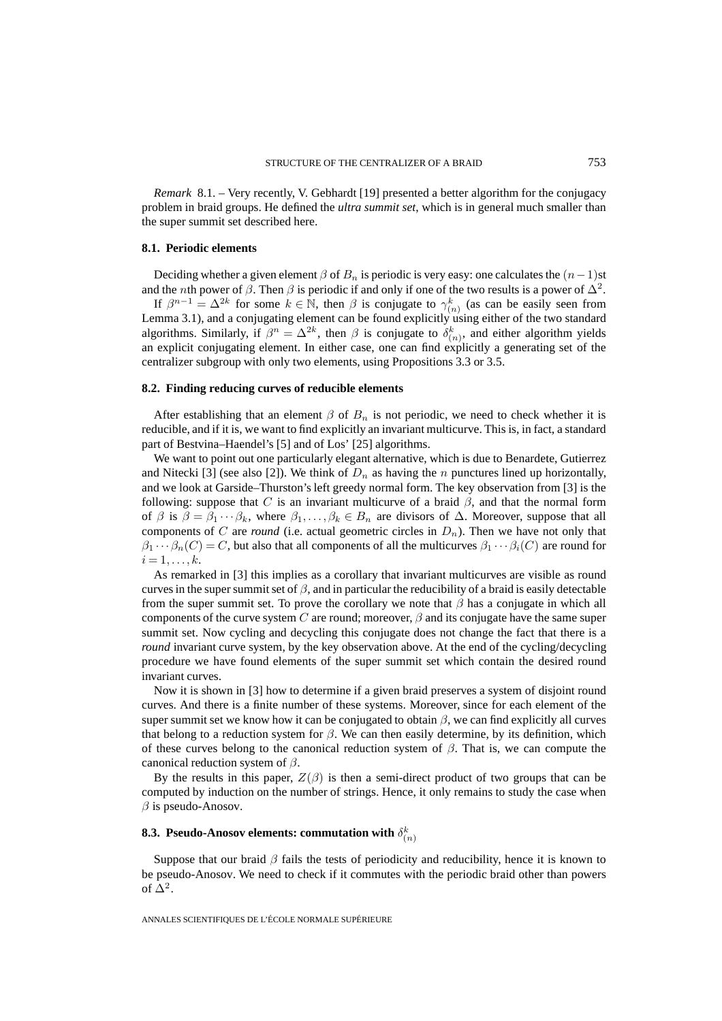*Remark* 8.1. – Very recently, V. Gebhardt [19] presented a better algorithm for the conjugacy problem in braid groups. He defined the *ultra summit set*, which is in general much smaller than the super summit set described here.

#### **8.1. Periodic elements**

Deciding whether a given element  $\beta$  of  $B_n$  is periodic is very easy: one calculates the  $(n-1)$ st and the *n*th power of  $\beta$ . Then  $\beta$  is periodic if and only if one of the two results is a power of  $\Delta^2$ .

If  $\beta^{n-1} = \Delta^{2k}$  for some  $k \in \mathbb{N}$ , then  $\beta$  is conjugate to  $\gamma_{(n)}^k$  (as can be easily seen from Lemma 3.1), and a conjugating element can be found explicitly using either of the two standard algorithms. Similarly, if  $\beta^n = \Delta^{2k}$ , then  $\beta$  is conjugate to  $\delta_{(n)}^k$ , and either algorithm yields an explicit conjugating element. In either case, one can find explicitly a generating set of the centralizer subgroup with only two elements, using Propositions 3.3 or 3.5.

#### **8.2. Finding reducing curves of reducible elements**

After establishing that an element  $\beta$  of  $B_n$  is not periodic, we need to check whether it is reducible, and if it is, we want to find explicitly an invariant multicurve. This is, in fact, a standard part of Bestvina–Haendel's [5] and of Los' [25] algorithms.

We want to point out one particularly elegant alternative, which is due to Benardete, Gutierrez and Nitecki [3] (see also [2]). We think of  $D_n$  as having the n punctures lined up horizontally, and we look at Garside–Thurston's left greedy normal form. The key observation from [3] is the following: suppose that C is an invariant multicurve of a braid  $\beta$ , and that the normal form of  $\beta$  is  $\beta = \beta_1 \cdots \beta_k$ , where  $\beta_1, \ldots, \beta_k \in B_n$  are divisors of  $\Delta$ . Moreover, suppose that all components of C are *round* (i.e. actual geometric circles in  $D_n$ ). Then we have not only that  $\beta_1 \cdots \beta_n(C) = C$ , but also that all components of all the multicurves  $\beta_1 \cdots \beta_i(C)$  are round for  $i=1,\ldots,k.$ 

As remarked in [3] this implies as a corollary that invariant multicurves are visible as round curves in the super summit set of  $\beta$ , and in particular the reducibility of a braid is easily detectable from the super summit set. To prove the corollary we note that  $\beta$  has a conjugate in which all components of the curve system C are round; moreover,  $\beta$  and its conjugate have the same super summit set. Now cycling and decycling this conjugate does not change the fact that there is a *round* invariant curve system, by the key observation above. At the end of the cycling/decycling procedure we have found elements of the super summit set which contain the desired round invariant curves.

Now it is shown in [3] how to determine if a given braid preserves a system of disjoint round curves. And there is a finite number of these systems. Moreover, since for each element of the super summit set we know how it can be conjugated to obtain  $\beta$ , we can find explicitly all curves that belong to a reduction system for  $\beta$ . We can then easily determine, by its definition, which of these curves belong to the canonical reduction system of  $\beta$ . That is, we can compute the canonical reduction system of  $\beta$ .

By the results in this paper,  $Z(\beta)$  is then a semi-direct product of two groups that can be computed by induction on the number of strings. Hence, it only remains to study the case when  $\beta$  is pseudo-Anosov.

# **8.3. Pseudo-Anosov elements: commutation with**  $\delta^k_{(n)}$

Suppose that our braid  $\beta$  fails the tests of periodicity and reducibility, hence it is known to be pseudo-Anosov. We need to check if it commutes with the periodic braid other than powers of  $\Delta^2$ .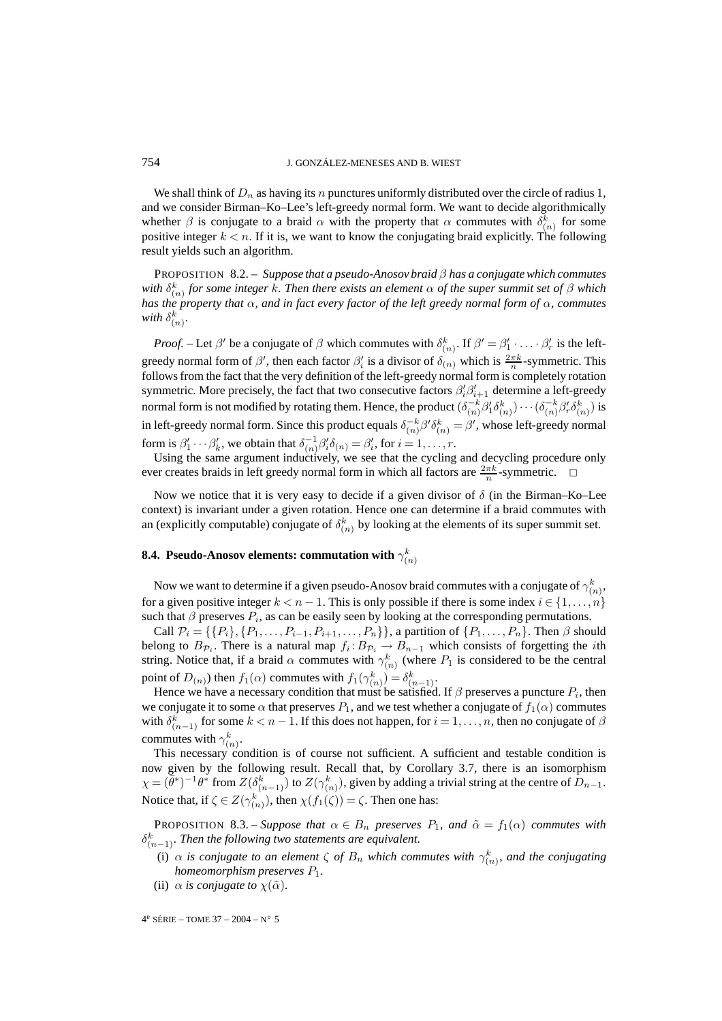We shall think of  $D_n$  as having its n punctures uniformly distributed over the circle of radius 1, and we consider Birman–Ko–Lee's left-greedy normal form. We want to decide algorithmically whether  $\beta$  is conjugate to a braid  $\alpha$  with the property that  $\alpha$  commutes with  $\delta_{(n)}^k$  for some positive integer  $k < n$ . If it is, we want to know the conjugating braid explicitly. The following result yields such an algorithm.

PROPOSITION 8.2. – *Suppose that a pseudo-Anosov braid* β *has a conjugate which commutes* with  $\delta^k_{(n)}$  *for some integer k. Then there exists an element*  $\alpha$  *of the super summit set of*  $\beta$  *which has the property that* α*, and in fact every factor of the left greedy normal form of* α*, commutes* with  $\delta^k_{(n)}$ .

*Proof.* – Let  $\beta'$  be a conjugate of  $\beta$  which commutes with  $\delta_{(n)}^k$ . If  $\beta' = \beta'_1 \cdot \ldots \cdot \beta'_r$  is the leftgreedy normal form of  $\beta'$ , then each factor  $\beta'_i$  is a divisor of  $\delta_{(n)}$  which is  $\frac{2\pi k}{n}$ -symmetric. This follows from the fact that the very definition of the left-greedy normal form is completely rotation symmetric. More precisely, the fact that two consecutive factors  $\beta_i' \beta_{i+1}'$  determine a left-greedy normal form is not modified by rotating them. Hence, the product  $(\delta_{(n)}^{-k}\beta_1'\delta_{(n)}^k)\cdots(\delta_{(n)}^{-k}\beta_r'\delta_{(n)}^k)$  is in left-greedy normal form. Since this product equals  $\delta_{(n)}^{-k}\beta'\delta_{(n)}^k = \beta'$ , whose left-greedy normal form is  $\beta'_1 \cdots \beta'_k$ , we obtain that  $\delta_{(n)}^{-1} \beta'_i \delta_{(n)} = \beta'_i$ , for  $i = 1, \ldots, r$ .

Using the same argument inductively, we see that the cycling and decycling procedure only ever creates braids in left greedy normal form in which all factors are  $\frac{2\pi k}{n}$ -symmetric.  $\Box$ 

Now we notice that it is very easy to decide if a given divisor of  $\delta$  (in the Birman–Ko–Lee context) is invariant under a given rotation. Hence one can determine if a braid commutes with an (explicitly computable) conjugate of  $\delta_{(n)}^k$  by looking at the elements of its super summit set.

# **8.4.** Pseudo-Anosov elements: commutation with  $\gamma^k_{(n)}$

Now we want to determine if a given pseudo-Anosov braid commutes with a conjugate of  $\gamma_{(n)}^k,$ for a given positive integer  $k < n - 1$ . This is only possible if there is some index  $i \in \{1, ..., n\}$ such that  $\beta$  preserves  $P_i$ , as can be easily seen by looking at the corresponding permutations.

Call  $\mathcal{P}_i = \{\{P_i\}, \{P_1, \ldots, P_{i-1}, P_{i+1}, \ldots, P_n\}\}\$ , a partition of  $\{P_1, \ldots, P_n\}$ . Then  $\beta$  should belong to  $B_{\mathcal{P}_i}$ . There is a natural map  $f_i : B_{\mathcal{P}_i} \to B_{n-1}$  which consists of forgetting the *i*th string. Notice that, if a braid  $\alpha$  commutes with  $\gamma_{(n)}^k$  (where  $P_1$  is considered to be the central point of  $D(n)$ ) then  $f_1(\alpha)$  commutes with  $f_1(\gamma_{(n)}^k) = \delta_{(n-1)}^k$ .

Hence we have a necessary condition that must be satisfied. If  $\beta$  preserves a puncture  $P_i$ , then we conjugate it to some  $\alpha$  that preserves  $P_1$ , and we test whether a conjugate of  $f_1(\alpha)$  commutes with  $\delta_{(n-1)}^k$  for some  $k < n - 1$ . If this does not happen, for  $i = 1, \ldots, n$ , then no conjugate of  $\beta$ commutes with  $\gamma_{(n)}^k$ .

This necessary condition is of course not sufficient. A sufficient and testable condition is now given by the following result. Recall that, by Corollary 3.7, there is an isomorphism  $\chi = (\bar{\theta}^*)^{-1}\theta^*$  from  $Z(\delta^k_{(n-1)})$  to  $Z(\gamma^k_{(n)})$ , given by adding a trivial string at the centre of  $D_{n-1}$ . Notice that, if  $\zeta \in Z(\gamma_{(n)}^k)$ , then  $\chi(f_1(\zeta)) = \zeta$ . Then one has:

**PROPOSITION** 8.3. – *Suppose that*  $\alpha \in B_n$  *preserves*  $P_1$ *, and*  $\tilde{\alpha} = f_1(\alpha)$  *commutes with*  $\delta^k_{(n-1)}$ . Then the following two statements are equivalent.

- (i)  $\alpha$  *is conjugate to an element*  $\zeta$  *of*  $B_n$  *which commutes with*  $\gamma_{(n)}^k$ *, and the conjugating homeomorphism preserves* P1*.*
- (ii)  $\alpha$  *is conjugate to*  $\chi(\tilde{\alpha})$ *.*

4e SÉRIE – TOME 37 – 2004 – N◦ 5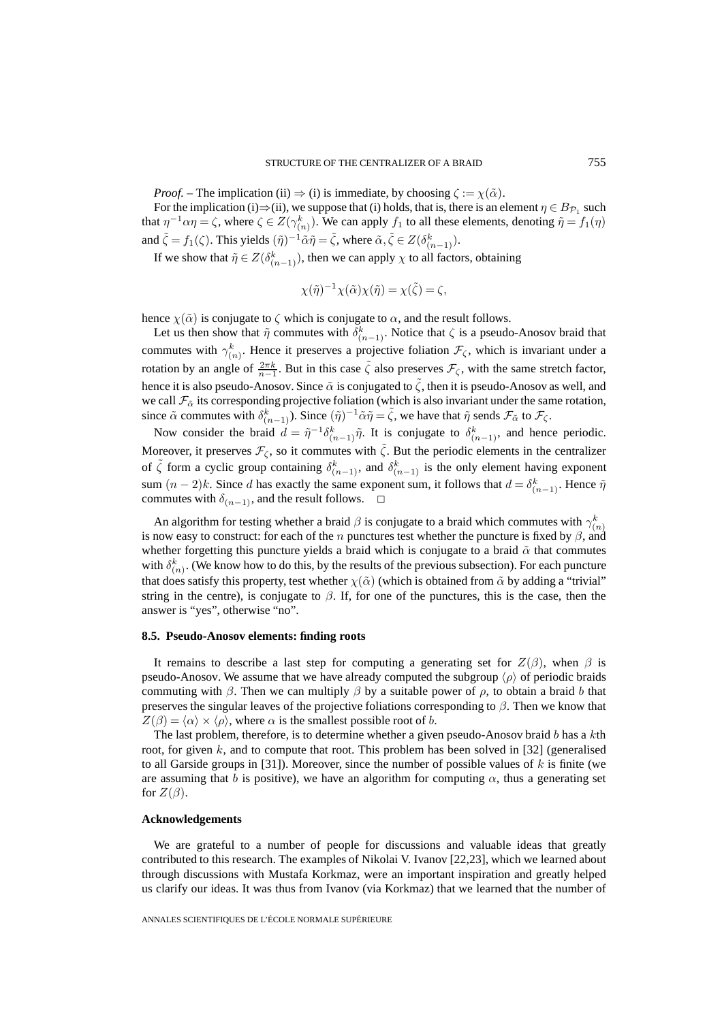*Proof.* – The implication (ii)  $\Rightarrow$  (i) is immediate, by choosing  $\zeta := \chi(\tilde{\alpha})$ .

For the implication (i) $\Rightarrow$ (ii), we suppose that (i) holds, that is, there is an element  $\eta \in B_{\mathcal{P}_1}$  such that  $\eta^{-1}\alpha\eta = \zeta$ , where  $\zeta \in Z(\gamma_{(n)}^k)$ . We can apply  $f_1$  to all these elements, denoting  $\tilde{\eta} = f_1(\eta)$ and  $\tilde{\zeta} = f_1(\zeta)$ . This yields  $(\tilde{\eta})^{-1} \tilde{\alpha} \tilde{\eta} = \tilde{\zeta}$ , where  $\tilde{\alpha}, \tilde{\zeta} \in Z(\delta_{(n-1)}^k)$ .

If we show that  $\tilde{\eta} \in Z(\delta_{(n-1)}^k)$ , then we can apply  $\chi$  to all factors, obtaining

$$
\chi(\tilde{\eta})^{-1}\chi(\tilde{\alpha})\chi(\tilde{\eta}) = \chi(\tilde{\zeta}) = \zeta,
$$

hence  $\chi(\tilde{\alpha})$  is conjugate to  $\zeta$  which is conjugate to  $\alpha$ , and the result follows.

Let us then show that  $\tilde{\eta}$  commutes with  $\delta_{(n-1)}^k$ . Notice that  $\zeta$  is a pseudo-Anosov braid that commutes with  $\gamma_{(n)}^k$ . Hence it preserves a projective foliation  $\mathcal{F}_{\zeta}$ , which is invariant under a rotation by an angle of  $\frac{2\pi k}{n-1}$ . But in this case  $\tilde{\zeta}$  also preserves  $\mathcal{F}_{\zeta}$ , with the same stretch factor, hence it is also pseudo-Anosov. Since  $\tilde{\alpha}$  is conjugated to  $\tilde{\zeta}$ , then it is pseudo-Anosov as well, and we call  $\mathcal{F}_{\alpha}$  its corresponding projective foliation (which is also invariant under the same rotation, since  $\tilde{\alpha}$  commutes with  $\delta_{(n-1)}^k$ ). Since  $(\tilde{\eta})^{-1}\tilde{\alpha}\tilde{\eta} = \tilde{\zeta}$ , we have that  $\tilde{\eta}$  sends  $\mathcal{F}_{\tilde{\alpha}}$  to  $\mathcal{F}_{\zeta}$ .

Now consider the braid  $d = \tilde{\eta}^{-1} \delta_{(n-1)}^k \tilde{\eta}$ . It is conjugate to  $\delta_{(n-1)}^k$ , and hence periodic. Moreover, it preserves  $\mathcal{F}_{\zeta}$ , so it commutes with  $\tilde{\zeta}$ . But the periodic elements in the centralizer of  $\tilde{\zeta}$  form a cyclic group containing  $\delta_{(n-1)}^k$ , and  $\delta_{(n-1)}^k$  is the only element having exponent sum  $(n-2)k$ . Since d has exactly the same exponent sum, it follows that  $d = \delta_{(n-1)}^k$ . Hence  $\tilde{\eta}$ commutes with  $\delta_{(n-1)}$ , and the result follows.  $\Box$ 

An algorithm for testing whether a braid  $\beta$  is conjugate to a braid which commutes with  $\gamma_{(n)}^k$ is now easy to construct: for each of the n punctures test whether the puncture is fixed by  $\beta$ , and whether forgetting this puncture yields a braid which is conjugate to a braid  $\tilde{\alpha}$  that commutes with  $\delta_{(n)}^k$ . (We know how to do this, by the results of the previous subsection). For each puncture that does satisfy this property, test whether  $\chi(\tilde{\alpha})$  (which is obtained from  $\tilde{\alpha}$  by adding a "trivial" string in the centre), is conjugate to  $\beta$ . If, for one of the punctures, this is the case, then the answer is "yes", otherwise "no".

#### **8.5. Pseudo-Anosov elements: finding roots**

It remains to describe a last step for computing a generating set for  $Z(\beta)$ , when  $\beta$  is pseudo-Anosov. We assume that we have already computed the subgroup  $\langle \rho \rangle$  of periodic braids commuting with  $\beta$ . Then we can multiply  $\beta$  by a suitable power of  $\rho$ , to obtain a braid b that preserves the singular leaves of the projective foliations corresponding to  $\beta$ . Then we know that  $Z(\beta) = \langle \alpha \rangle \times \langle \rho \rangle$ , where  $\alpha$  is the smallest possible root of b.

The last problem, therefore, is to determine whether a given pseudo-Anosov braid  $b$  has a  $k$ th root, for given  $k$ , and to compute that root. This problem has been solved in [32] (generalised to all Garside groups in [31]). Moreover, since the number of possible values of  $k$  is finite (we are assuming that b is positive), we have an algorithm for computing  $\alpha$ , thus a generating set for  $Z(\beta)$ .

#### **Acknowledgements**

We are grateful to a number of people for discussions and valuable ideas that greatly contributed to this research. The examples of Nikolai V. Ivanov [22,23], which we learned about through discussions with Mustafa Korkmaz, were an important inspiration and greatly helped us clarify our ideas. It was thus from Ivanov (via Korkmaz) that we learned that the number of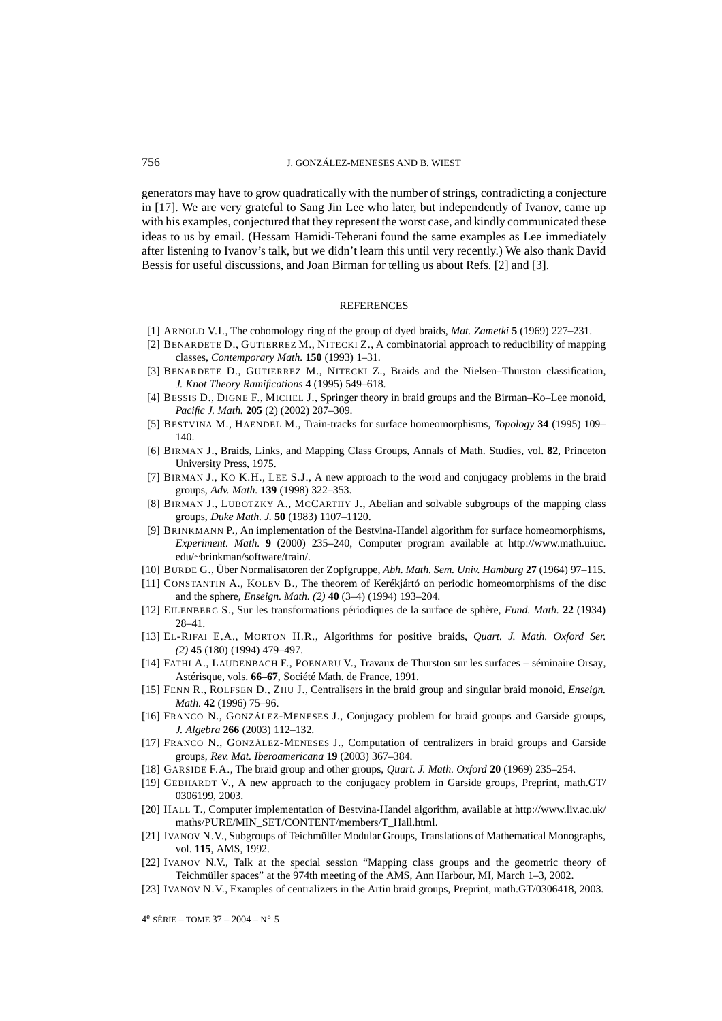generators may have to grow quadratically with the number of strings, contradicting a conjecture in [17]. We are very grateful to Sang Jin Lee who later, but independently of Ivanov, came up with his examples, conjectured that they represent the worst case, and kindly communicated these ideas to us by email. (Hessam Hamidi-Teherani found the same examples as Lee immediately after listening to Ivanov's talk, but we didn't learn this until very recently.) We also thank David Bessis for useful discussions, and Joan Birman for telling us about Refs. [2] and [3].

#### **REFERENCES**

- [1] ARNOLD V.I., The cohomology ring of the group of dyed braids, *Mat. Zametki* **5** (1969) 227–231.
- [2] BENARDETE D., GUTIERREZ M., NITECKI Z., A combinatorial approach to reducibility of mapping classes, *Contemporary Math.* **150** (1993) 1–31.
- [3] BENARDETE D., GUTIERREZ M., NITECKI Z., Braids and the Nielsen–Thurston classification, *J. Knot Theory Ramifications* **4** (1995) 549–618.
- [4] BESSIS D., DIGNE F., MICHEL J., Springer theory in braid groups and the Birman–Ko–Lee monoid, *Pacific J. Math.* **205** (2) (2002) 287–309.
- [5] BESTVINA M., HAENDEL M., Train-tracks for surface homeomorphisms, *Topology* **34** (1995) 109– 140.
- [6] BIRMAN J., Braids, Links, and Mapping Class Groups, Annals of Math. Studies, vol. **82**, Princeton University Press, 1975.
- [7] BIRMAN J., KO K.H., LEE S.J., A new approach to the word and conjugacy problems in the braid groups, *Adv. Math.* **139** (1998) 322–353.
- [8] BIRMAN J., LUBOTZKY A., MCCARTHY J., Abelian and solvable subgroups of the mapping class groups, *Duke Math. J.* **50** (1983) 1107–1120.
- [9] BRINKMANN P., An implementation of the Bestvina-Handel algorithm for surface homeomorphisms, *Experiment. Math.* **9** (2000) 235–240, Computer program available at http://www.math.uiuc. edu/~brinkman/software/train/.
- [10] BURDE G., Über Normalisatoren der Zopfgruppe, *Abh. Math. Sem. Univ. Hamburg* **27** (1964) 97–115.
- [11] CONSTANTIN A., KOLEV B., The theorem of Kerékjártó on periodic homeomorphisms of the disc and the sphere, *Enseign. Math. (2)* **40** (3–4) (1994) 193–204.
- [12] EILENBERG S., Sur les transformations périodiques de la surface de sphère, *Fund. Math.* **22** (1934) 28–41.
- [13] EL-RIFAI E.A., MORTON H.R., Algorithms for positive braids, *Quart. J. Math. Oxford Ser. (2)* **45** (180) (1994) 479–497.
- [14] FATHI A., LAUDENBACH F., POENARU V., Travaux de Thurston sur les surfaces séminaire Orsay, Astérisque, vols. **66–67**, Société Math. de France, 1991.
- [15] FENN R., ROLFSEN D., ZHU J., Centralisers in the braid group and singular braid monoid, *Enseign. Math.* **42** (1996) 75–96.
- [16] FRANCO N., GONZÁLEZ-MENESES J., Conjugacy problem for braid groups and Garside groups, *J. Algebra* **266** (2003) 112–132.
- [17] FRANCO N., GONZÁLEZ-MENESES J., Computation of centralizers in braid groups and Garside groups, *Rev. Mat. Iberoamericana* **19** (2003) 367–384.
- [18] GARSIDE F.A., The braid group and other groups, *Quart. J. Math. Oxford* **20** (1969) 235–254.
- [19] GEBHARDT V., A new approach to the conjugacy problem in Garside groups, Preprint, math.GT/ 0306199, 2003.
- [20] HALL T., Computer implementation of Bestvina-Handel algorithm, available at http://www.liv.ac.uk/ maths/PURE/MIN\_SET/CONTENT/members/T\_Hall.html.
- [21] IVANOV N.V., Subgroups of Teichmüller Modular Groups, Translations of Mathematical Monographs, vol. **115**, AMS, 1992.
- [22] IVANOV N.V., Talk at the special session "Mapping class groups and the geometric theory of Teichmüller spaces" at the 974th meeting of the AMS, Ann Harbour, MI, March 1–3, 2002.
- [23] IVANOV N.V., Examples of centralizers in the Artin braid groups, Preprint, math.GT/0306418, 2003.

 $4^e$  SÉRIE – TOME 37 – 2004 – N° 5